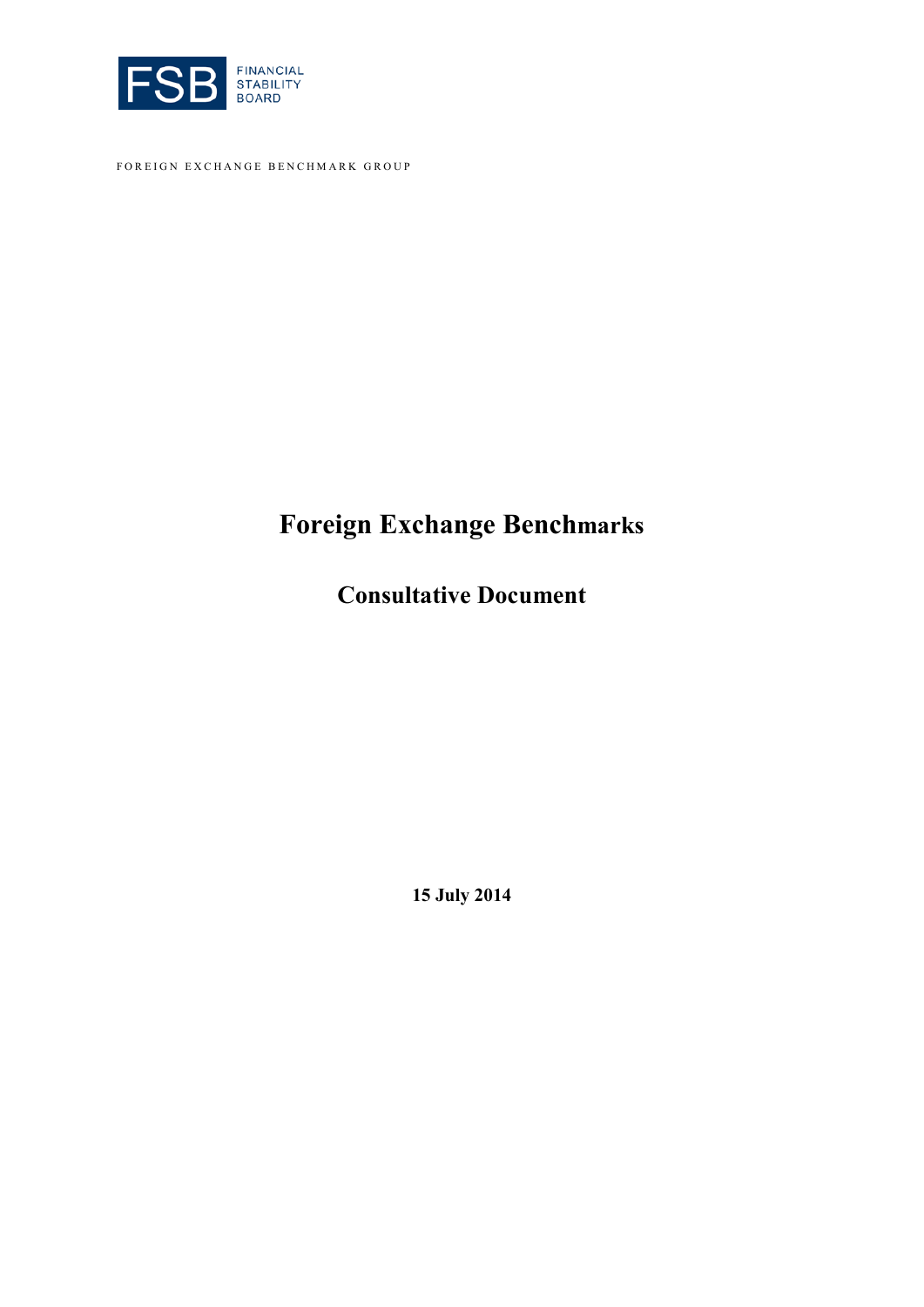

FOREIGN EXCHANGE BENCHMARK GROUP

# **Foreign Exchange Benchmarks**

**Consultative Document**

**15 July 2014**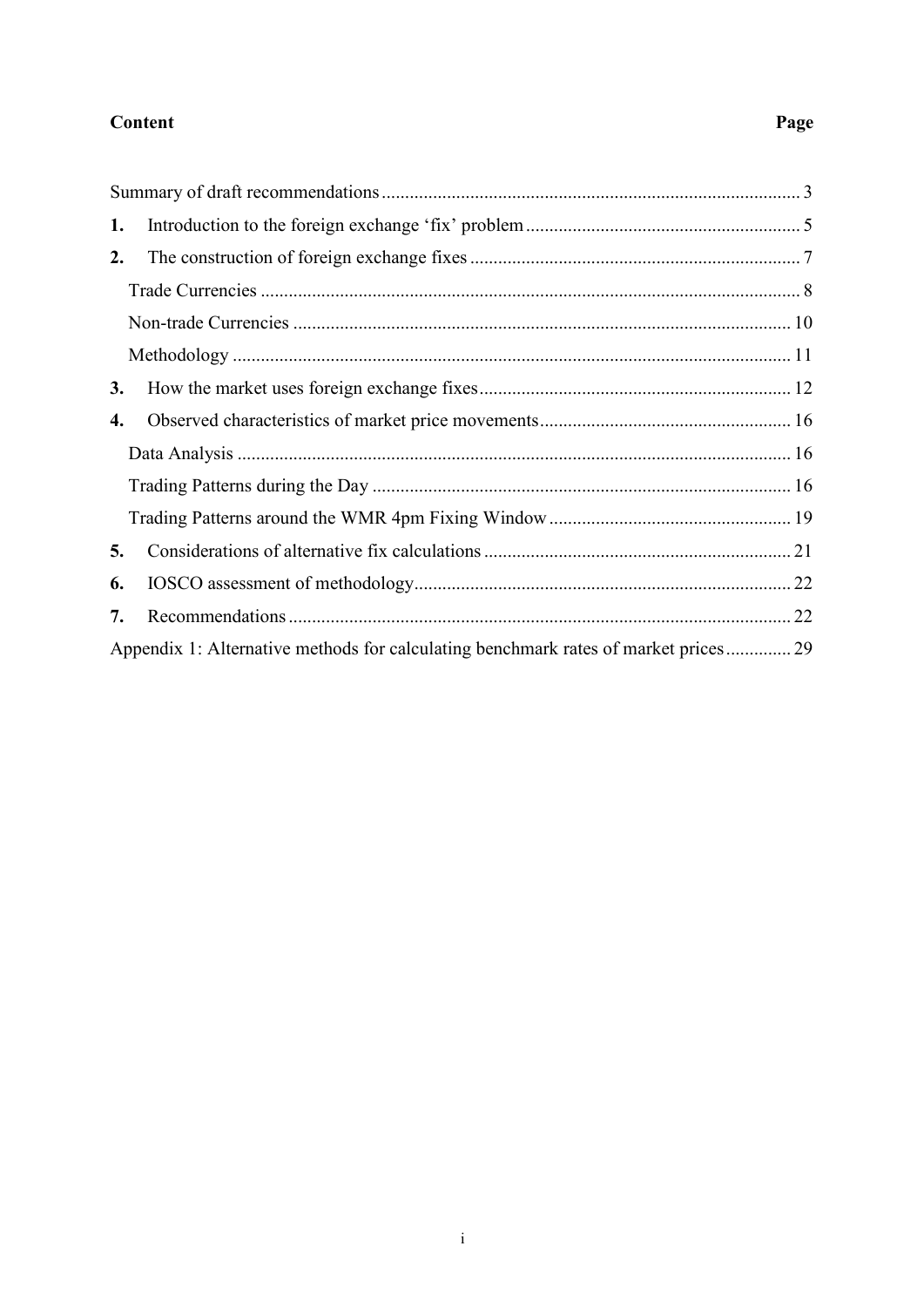#### **Content**

#### 1.  $2.$  $3.$  $\boldsymbol{4}$ . 5. 6. 7. Appendix 1: Alternative methods for calculating benchmark rates of market prices................ 29

#### Page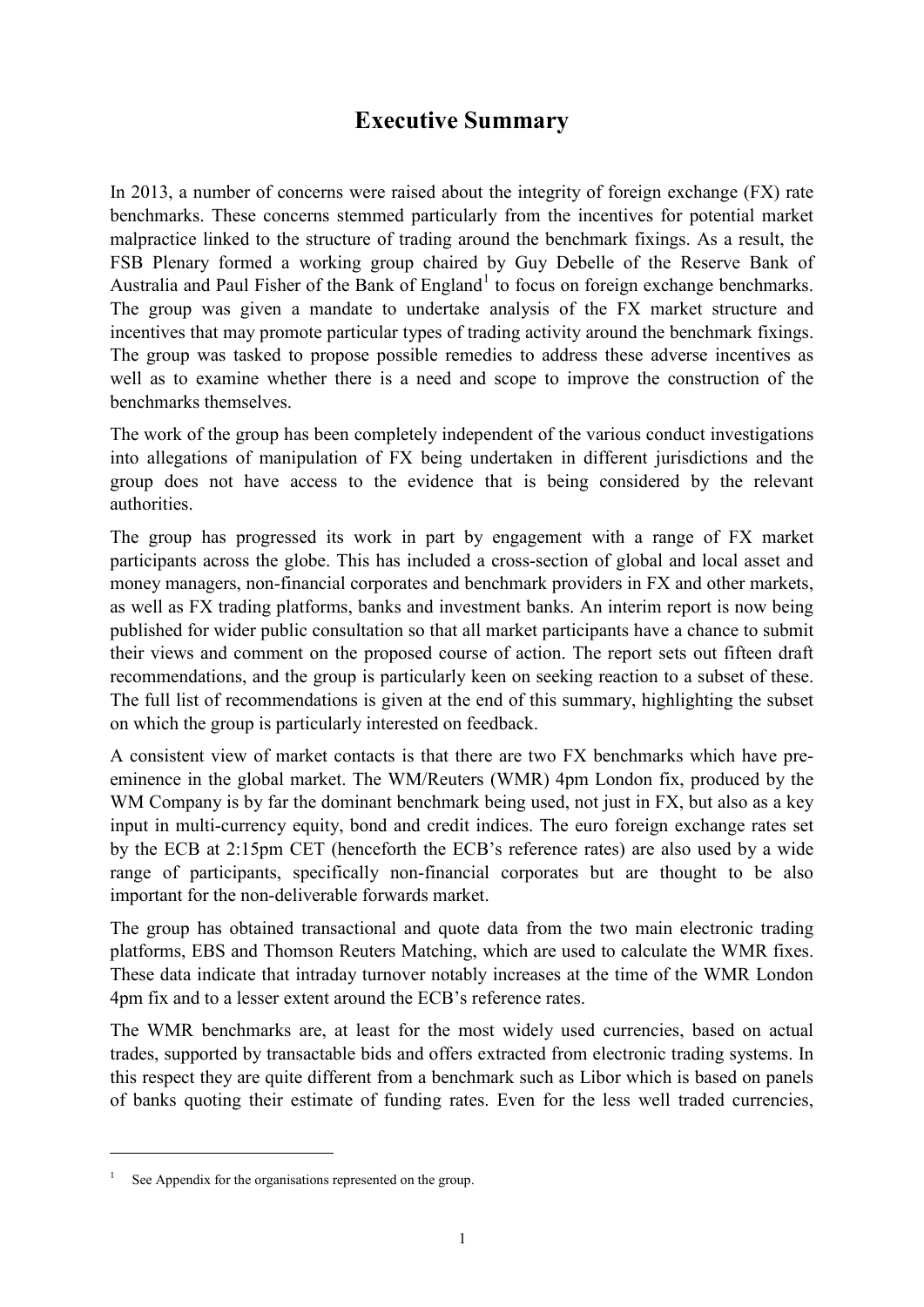# **Executive Summary**

In 2013, a number of concerns were raised about the integrity of foreign exchange (FX) rate benchmarks. These concerns stemmed particularly from the incentives for potential market malpractice linked to the structure of trading around the benchmark fixings. As a result, the FSB Plenary formed a working group chaired by Guy Debelle of the Reserve Bank of Australia and Paul Fisher of the Bank of England<sup>[1](#page-2-0)</sup> to focus on foreign exchange benchmarks. The group was given a mandate to undertake analysis of the FX market structure and incentives that may promote particular types of trading activity around the benchmark fixings. The group was tasked to propose possible remedies to address these adverse incentives as well as to examine whether there is a need and scope to improve the construction of the benchmarks themselves.

The work of the group has been completely independent of the various conduct investigations into allegations of manipulation of FX being undertaken in different jurisdictions and the group does not have access to the evidence that is being considered by the relevant authorities.

The group has progressed its work in part by engagement with a range of FX market participants across the globe. This has included a cross-section of global and local asset and money managers, non-financial corporates and benchmark providers in FX and other markets, as well as FX trading platforms, banks and investment banks. An interim report is now being published for wider public consultation so that all market participants have a chance to submit their views and comment on the proposed course of action. The report sets out fifteen draft recommendations, and the group is particularly keen on seeking reaction to a subset of these. The full list of recommendations is given at the end of this summary, highlighting the subset on which the group is particularly interested on feedback.

A consistent view of market contacts is that there are two FX benchmarks which have preeminence in the global market. The WM/Reuters (WMR) 4pm London fix, produced by the WM Company is by far the dominant benchmark being used, not just in FX, but also as a key input in multi-currency equity, bond and credit indices. The euro foreign exchange rates set by the ECB at 2:15pm CET (henceforth the ECB's reference rates) are also used by a wide range of participants, specifically non-financial corporates but are thought to be also important for the non-deliverable forwards market.

The group has obtained transactional and quote data from the two main electronic trading platforms, EBS and Thomson Reuters Matching, which are used to calculate the WMR fixes. These data indicate that intraday turnover notably increases at the time of the WMR London 4pm fix and to a lesser extent around the ECB's reference rates.

The WMR benchmarks are, at least for the most widely used currencies, based on actual trades, supported by transactable bids and offers extracted from electronic trading systems. In this respect they are quite different from a benchmark such as Libor which is based on panels of banks quoting their estimate of funding rates. Even for the less well traded currencies,

<u>.</u>

<span id="page-2-0"></span>See Appendix for the organisations represented on the group.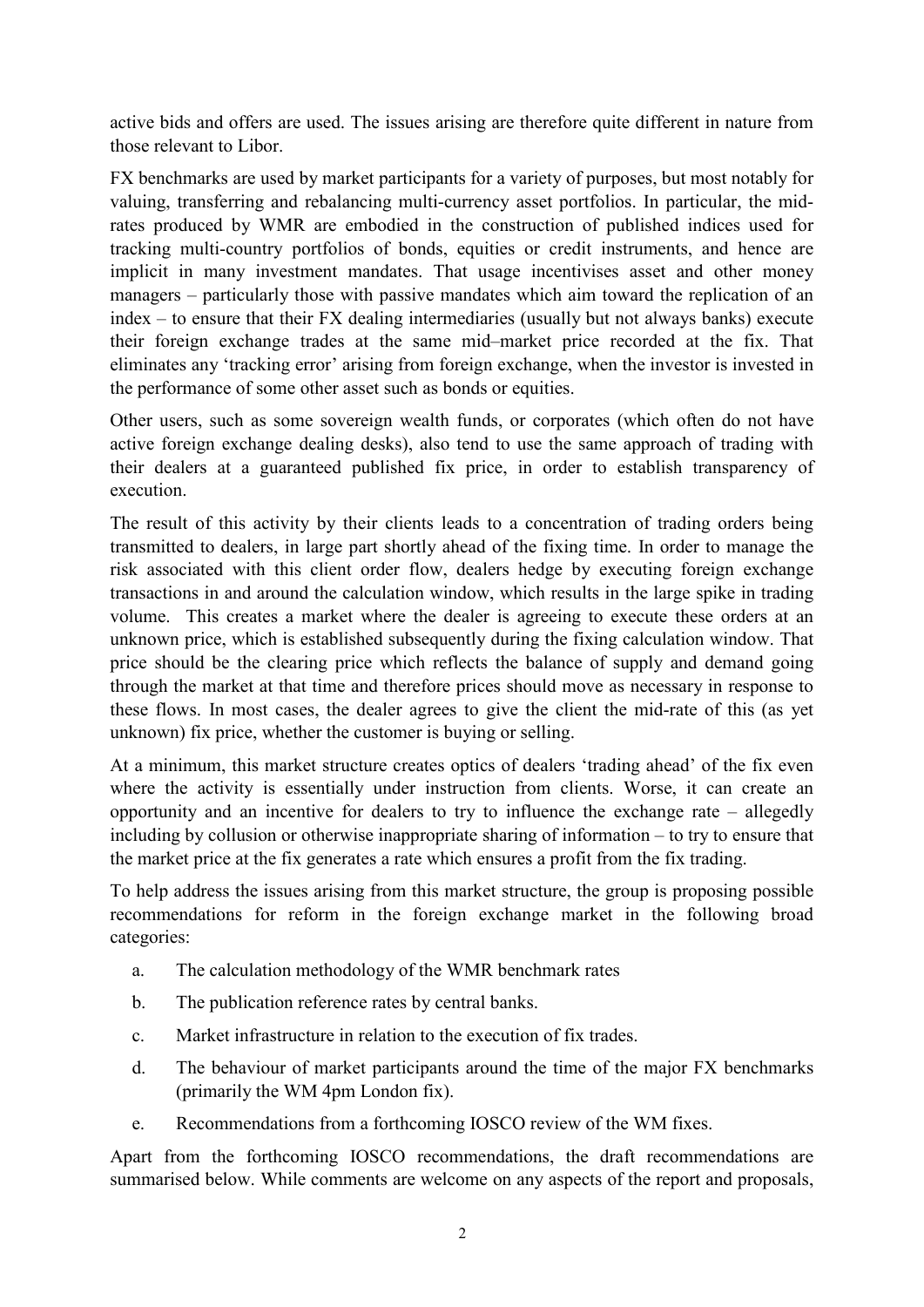active bids and offers are used. The issues arising are therefore quite different in nature from those relevant to Libor.

FX benchmarks are used by market participants for a variety of purposes, but most notably for valuing, transferring and rebalancing multi-currency asset portfolios. In particular, the midrates produced by WMR are embodied in the construction of published indices used for tracking multi-country portfolios of bonds, equities or credit instruments, and hence are implicit in many investment mandates. That usage incentivises asset and other money managers – particularly those with passive mandates which aim toward the replication of an index – to ensure that their FX dealing intermediaries (usually but not always banks) execute their foreign exchange trades at the same mid–market price recorded at the fix. That eliminates any 'tracking error' arising from foreign exchange, when the investor is invested in the performance of some other asset such as bonds or equities.

Other users, such as some sovereign wealth funds, or corporates (which often do not have active foreign exchange dealing desks), also tend to use the same approach of trading with their dealers at a guaranteed published fix price, in order to establish transparency of execution.

The result of this activity by their clients leads to a concentration of trading orders being transmitted to dealers, in large part shortly ahead of the fixing time. In order to manage the risk associated with this client order flow, dealers hedge by executing foreign exchange transactions in and around the calculation window, which results in the large spike in trading volume. This creates a market where the dealer is agreeing to execute these orders at an unknown price, which is established subsequently during the fixing calculation window. That price should be the clearing price which reflects the balance of supply and demand going through the market at that time and therefore prices should move as necessary in response to these flows. In most cases, the dealer agrees to give the client the mid-rate of this (as yet unknown) fix price, whether the customer is buying or selling.

At a minimum, this market structure creates optics of dealers 'trading ahead' of the fix even where the activity is essentially under instruction from clients. Worse, it can create an opportunity and an incentive for dealers to try to influence the exchange rate – allegedly including by collusion or otherwise inappropriate sharing of information – to try to ensure that the market price at the fix generates a rate which ensures a profit from the fix trading.

To help address the issues arising from this market structure, the group is proposing possible recommendations for reform in the foreign exchange market in the following broad categories:

- a. The calculation methodology of the WMR benchmark rates
- b. The publication reference rates by central banks.
- c. Market infrastructure in relation to the execution of fix trades.
- d. The behaviour of market participants around the time of the major FX benchmarks (primarily the WM 4pm London fix).
- e. Recommendations from a forthcoming IOSCO review of the WM fixes.

Apart from the forthcoming IOSCO recommendations, the draft recommendations are summarised below. While comments are welcome on any aspects of the report and proposals,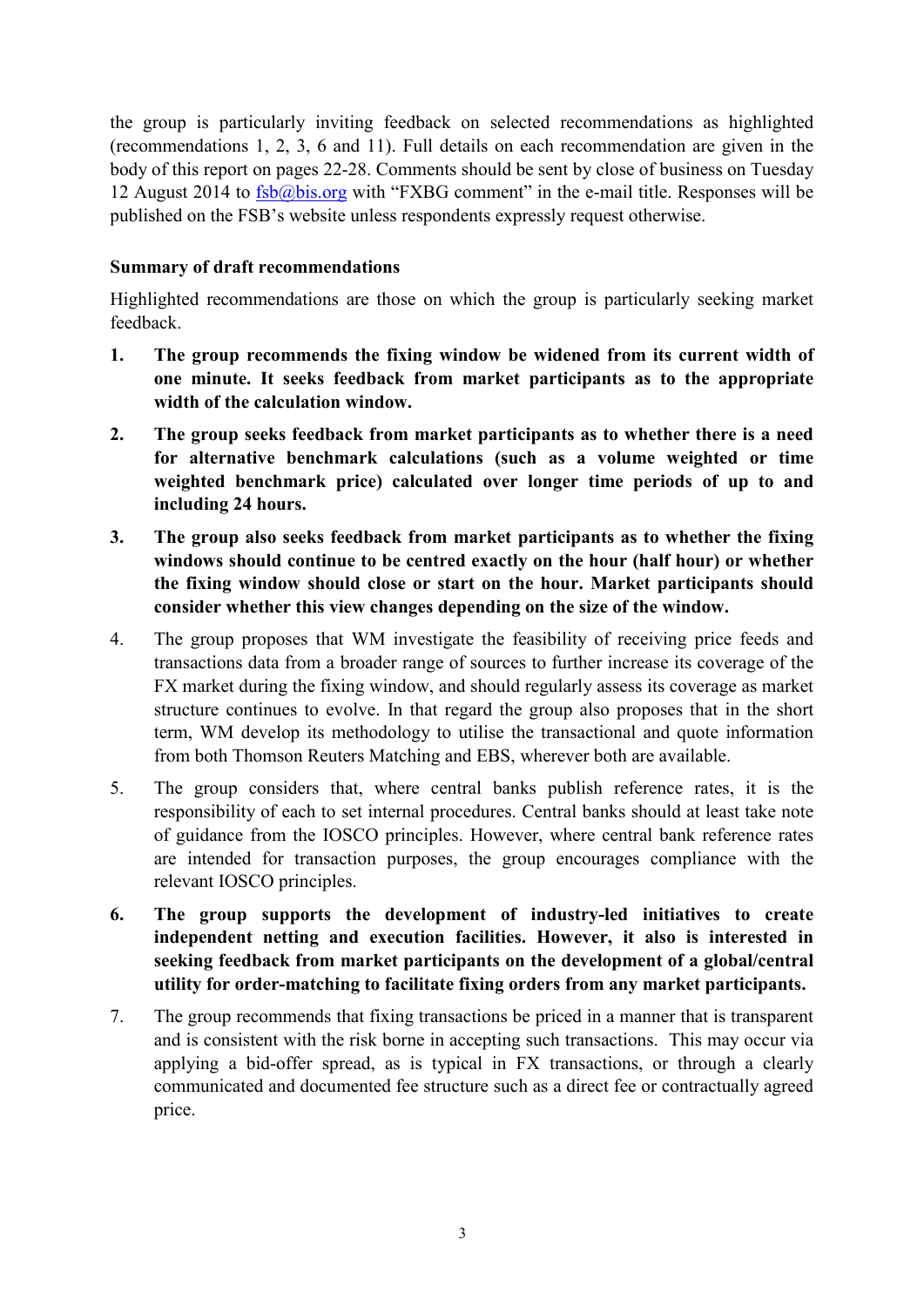the group is particularly inviting feedback on selected recommendations as highlighted (recommendations 1, 2, 3, 6 and 11). Full details on each recommendation are given in the body of this report on pages 22-28. Comments should be sent by close of business on Tuesday 12 August 2014 to  $\frac{fsb@bis.org}{s}$  with "FXBG comment" in the e-mail title. Responses will be published on the FSB's website unless respondents expressly request otherwise.

#### <span id="page-4-0"></span>**Summary of draft recommendations**

Highlighted recommendations are those on which the group is particularly seeking market feedback.

- **1. The group recommends the fixing window be widened from its current width of one minute. It seeks feedback from market participants as to the appropriate width of the calculation window.**
- **2. The group seeks feedback from market participants as to whether there is a need for alternative benchmark calculations (such as a volume weighted or time weighted benchmark price) calculated over longer time periods of up to and including 24 hours.**
- **3. The group also seeks feedback from market participants as to whether the fixing windows should continue to be centred exactly on the hour (half hour) or whether the fixing window should close or start on the hour. Market participants should consider whether this view changes depending on the size of the window.**
- 4. The group proposes that WM investigate the feasibility of receiving price feeds and transactions data from a broader range of sources to further increase its coverage of the FX market during the fixing window, and should regularly assess its coverage as market structure continues to evolve. In that regard the group also proposes that in the short term, WM develop its methodology to utilise the transactional and quote information from both Thomson Reuters Matching and EBS, wherever both are available.
- 5. The group considers that, where central banks publish reference rates, it is the responsibility of each to set internal procedures. Central banks should at least take note of guidance from the IOSCO principles. However, where central bank reference rates are intended for transaction purposes, the group encourages compliance with the relevant IOSCO principles.
- **6. The group supports the development of industry-led initiatives to create independent netting and execution facilities. However, it also is interested in seeking feedback from market participants on the development of a global/central utility for order-matching to facilitate fixing orders from any market participants.**
- 7. The group recommends that fixing transactions be priced in a manner that is transparent and is consistent with the risk borne in accepting such transactions. This may occur via applying a bid-offer spread, as is typical in FX transactions, or through a clearly communicated and documented fee structure such as a direct fee or contractually agreed price.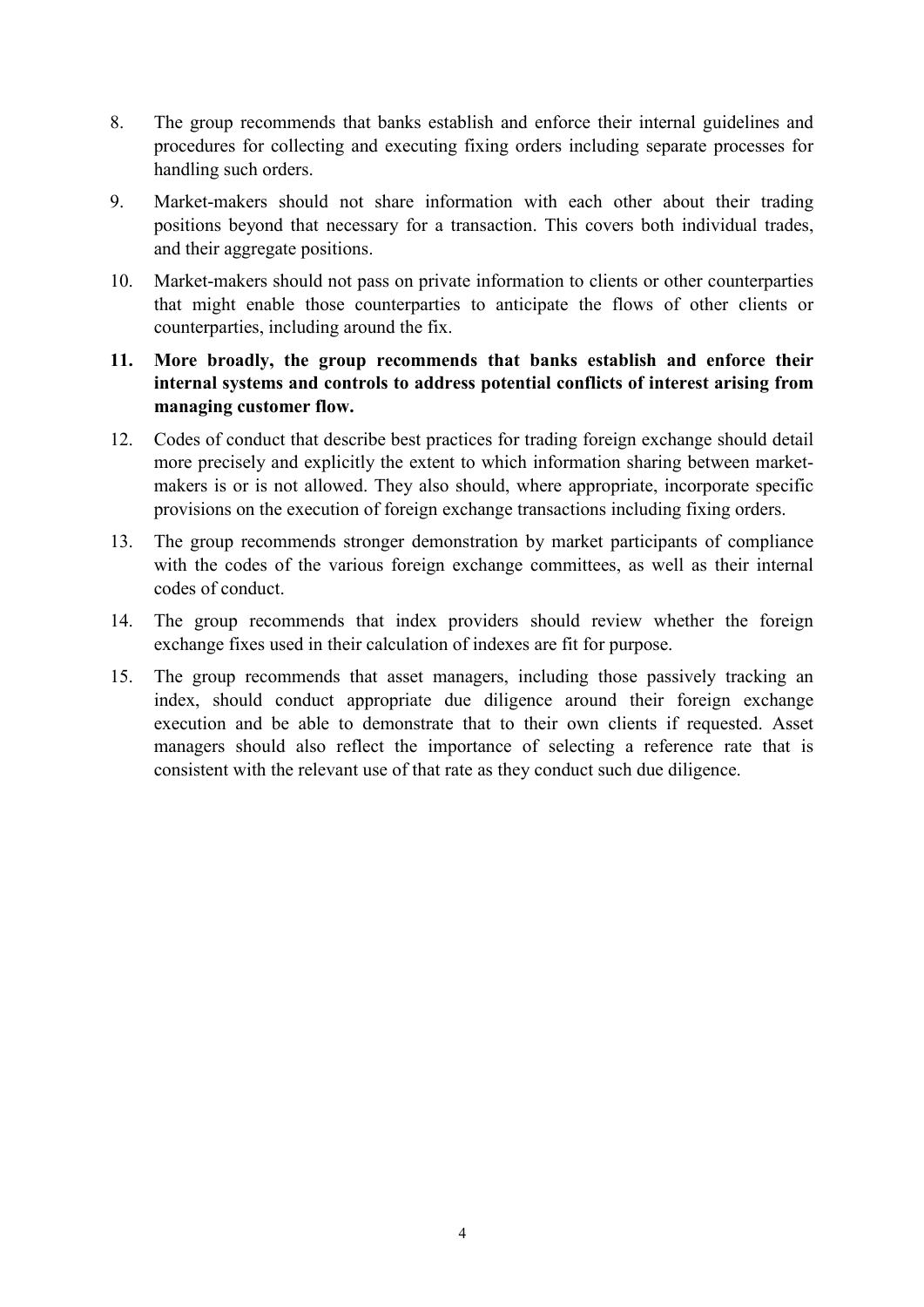- 8. The group recommends that banks establish and enforce their internal guidelines and procedures for collecting and executing fixing orders including separate processes for handling such orders.
- 9. Market-makers should not share information with each other about their trading positions beyond that necessary for a transaction. This covers both individual trades, and their aggregate positions.
- 10. Market-makers should not pass on private information to clients or other counterparties that might enable those counterparties to anticipate the flows of other clients or counterparties, including around the fix.
- **11. More broadly, the group recommends that banks establish and enforce their internal systems and controls to address potential conflicts of interest arising from managing customer flow.**
- 12. Codes of conduct that describe best practices for trading foreign exchange should detail more precisely and explicitly the extent to which information sharing between marketmakers is or is not allowed. They also should, where appropriate, incorporate specific provisions on the execution of foreign exchange transactions including fixing orders.
- 13. The group recommends stronger demonstration by market participants of compliance with the codes of the various foreign exchange committees, as well as their internal codes of conduct.
- 14. The group recommends that index providers should review whether the foreign exchange fixes used in their calculation of indexes are fit for purpose.
- 15. The group recommends that asset managers, including those passively tracking an index, should conduct appropriate due diligence around their foreign exchange execution and be able to demonstrate that to their own clients if requested. Asset managers should also reflect the importance of selecting a reference rate that is consistent with the relevant use of that rate as they conduct such due diligence.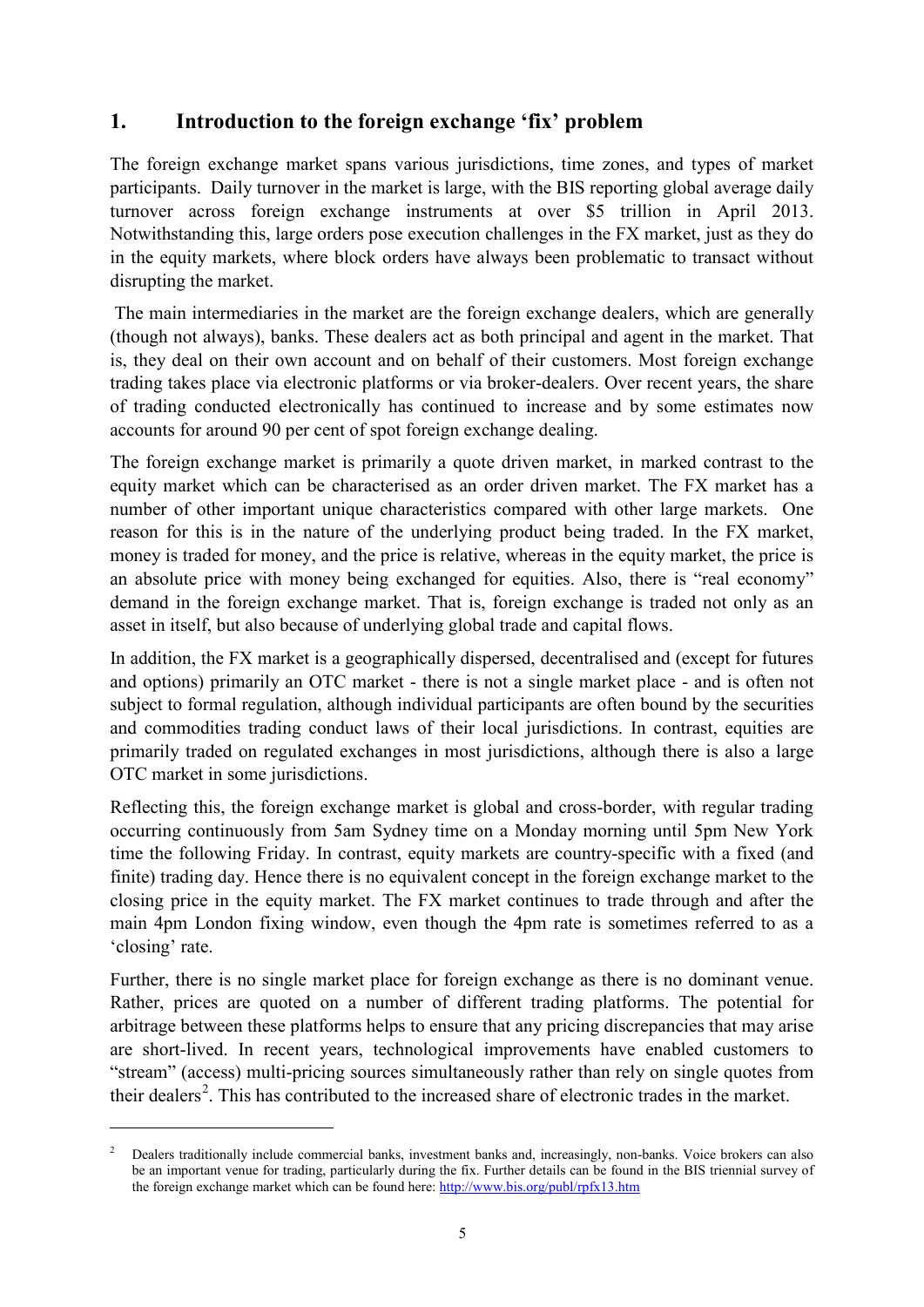# <span id="page-6-0"></span>**1. Introduction to the foreign exchange 'fix' problem**

The foreign exchange market spans various jurisdictions, time zones, and types of market participants. Daily turnover in the market is large, with the BIS reporting global average daily turnover across foreign exchange instruments at over \$5 trillion in April 2013. Notwithstanding this, large orders pose execution challenges in the FX market, just as they do in the equity markets, where block orders have always been problematic to transact without disrupting the market.

The main intermediaries in the market are the foreign exchange dealers, which are generally (though not always), banks. These dealers act as both principal and agent in the market. That is, they deal on their own account and on behalf of their customers. Most foreign exchange trading takes place via electronic platforms or via broker-dealers. Over recent years, the share of trading conducted electronically has continued to increase and by some estimates now accounts for around 90 per cent of spot foreign exchange dealing.

The foreign exchange market is primarily a quote driven market, in marked contrast to the equity market which can be characterised as an order driven market. The FX market has a number of other important unique characteristics compared with other large markets. One reason for this is in the nature of the underlying product being traded. In the FX market, money is traded for money, and the price is relative, whereas in the equity market, the price is an absolute price with money being exchanged for equities. Also, there is "real economy" demand in the foreign exchange market. That is, foreign exchange is traded not only as an asset in itself, but also because of underlying global trade and capital flows.

In addition, the FX market is a geographically dispersed, decentralised and (except for futures and options) primarily an OTC market - there is not a single market place - and is often not subject to formal regulation, although individual participants are often bound by the securities and commodities trading conduct laws of their local jurisdictions. In contrast, equities are primarily traded on regulated exchanges in most jurisdictions, although there is also a large OTC market in some jurisdictions.

Reflecting this, the foreign exchange market is global and cross-border, with regular trading occurring continuously from 5am Sydney time on a Monday morning until 5pm New York time the following Friday. In contrast, equity markets are country-specific with a fixed (and finite) trading day. Hence there is no equivalent concept in the foreign exchange market to the closing price in the equity market. The FX market continues to trade through and after the main 4pm London fixing window, even though the 4pm rate is sometimes referred to as a 'closing' rate.

Further, there is no single market place for foreign exchange as there is no dominant venue. Rather, prices are quoted on a number of different trading platforms. The potential for arbitrage between these platforms helps to ensure that any pricing discrepancies that may arise are short-lived. In recent years, technological improvements have enabled customers to "stream" (access) multi-pricing sources simultaneously rather than rely on single quotes from their dealers<sup>[2](#page-6-1)</sup>. This has contributed to the increased share of electronic trades in the market.

-

<span id="page-6-1"></span><sup>2</sup> Dealers traditionally include commercial banks, investment banks and, increasingly, non-banks. Voice brokers can also be an important venue for trading, particularly during the fix. Further details can be found in the BIS triennial survey of the foreign exchange market which can be found here: <http://www.bis.org/publ/rpfx13.htm>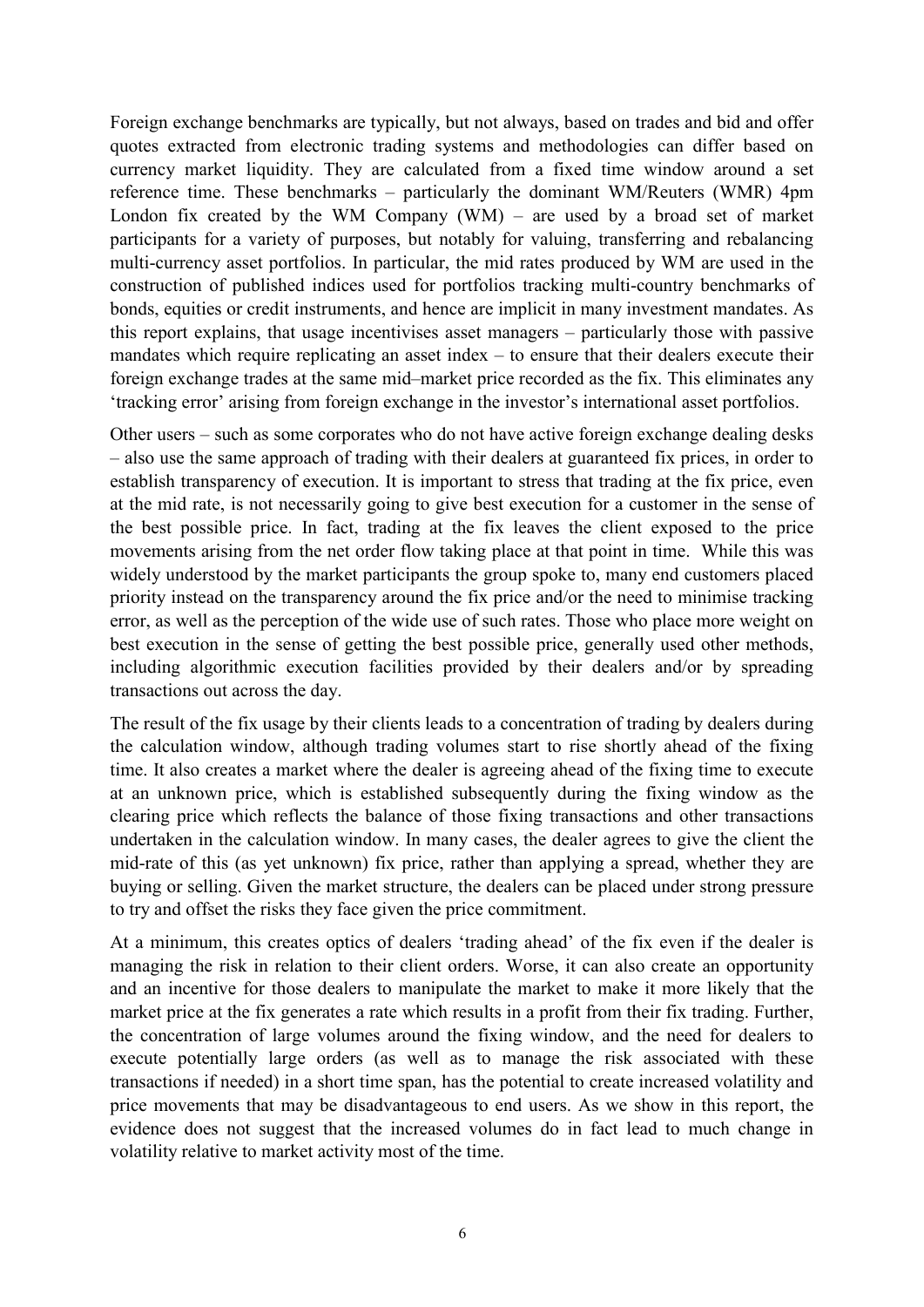Foreign exchange benchmarks are typically, but not always, based on trades and bid and offer quotes extracted from electronic trading systems and methodologies can differ based on currency market liquidity. They are calculated from a fixed time window around a set reference time. These benchmarks – particularly the dominant WM/Reuters (WMR) 4pm London fix created by the WM Company (WM) – are used by a broad set of market participants for a variety of purposes, but notably for valuing, transferring and rebalancing multi-currency asset portfolios. In particular, the mid rates produced by WM are used in the construction of published indices used for portfolios tracking multi-country benchmarks of bonds, equities or credit instruments, and hence are implicit in many investment mandates. As this report explains, that usage incentivises asset managers – particularly those with passive mandates which require replicating an asset index – to ensure that their dealers execute their foreign exchange trades at the same mid–market price recorded as the fix. This eliminates any 'tracking error' arising from foreign exchange in the investor's international asset portfolios.

Other users – such as some corporates who do not have active foreign exchange dealing desks – also use the same approach of trading with their dealers at guaranteed fix prices, in order to establish transparency of execution. It is important to stress that trading at the fix price, even at the mid rate, is not necessarily going to give best execution for a customer in the sense of the best possible price. In fact, trading at the fix leaves the client exposed to the price movements arising from the net order flow taking place at that point in time. While this was widely understood by the market participants the group spoke to, many end customers placed priority instead on the transparency around the fix price and/or the need to minimise tracking error, as well as the perception of the wide use of such rates. Those who place more weight on best execution in the sense of getting the best possible price, generally used other methods, including algorithmic execution facilities provided by their dealers and/or by spreading transactions out across the day.

The result of the fix usage by their clients leads to a concentration of trading by dealers during the calculation window, although trading volumes start to rise shortly ahead of the fixing time. It also creates a market where the dealer is agreeing ahead of the fixing time to execute at an unknown price, which is established subsequently during the fixing window as the clearing price which reflects the balance of those fixing transactions and other transactions undertaken in the calculation window. In many cases, the dealer agrees to give the client the mid-rate of this (as yet unknown) fix price, rather than applying a spread, whether they are buying or selling. Given the market structure, the dealers can be placed under strong pressure to try and offset the risks they face given the price commitment.

At a minimum, this creates optics of dealers 'trading ahead' of the fix even if the dealer is managing the risk in relation to their client orders. Worse, it can also create an opportunity and an incentive for those dealers to manipulate the market to make it more likely that the market price at the fix generates a rate which results in a profit from their fix trading. Further, the concentration of large volumes around the fixing window, and the need for dealers to execute potentially large orders (as well as to manage the risk associated with these transactions if needed) in a short time span, has the potential to create increased volatility and price movements that may be disadvantageous to end users. As we show in this report, the evidence does not suggest that the increased volumes do in fact lead to much change in volatility relative to market activity most of the time.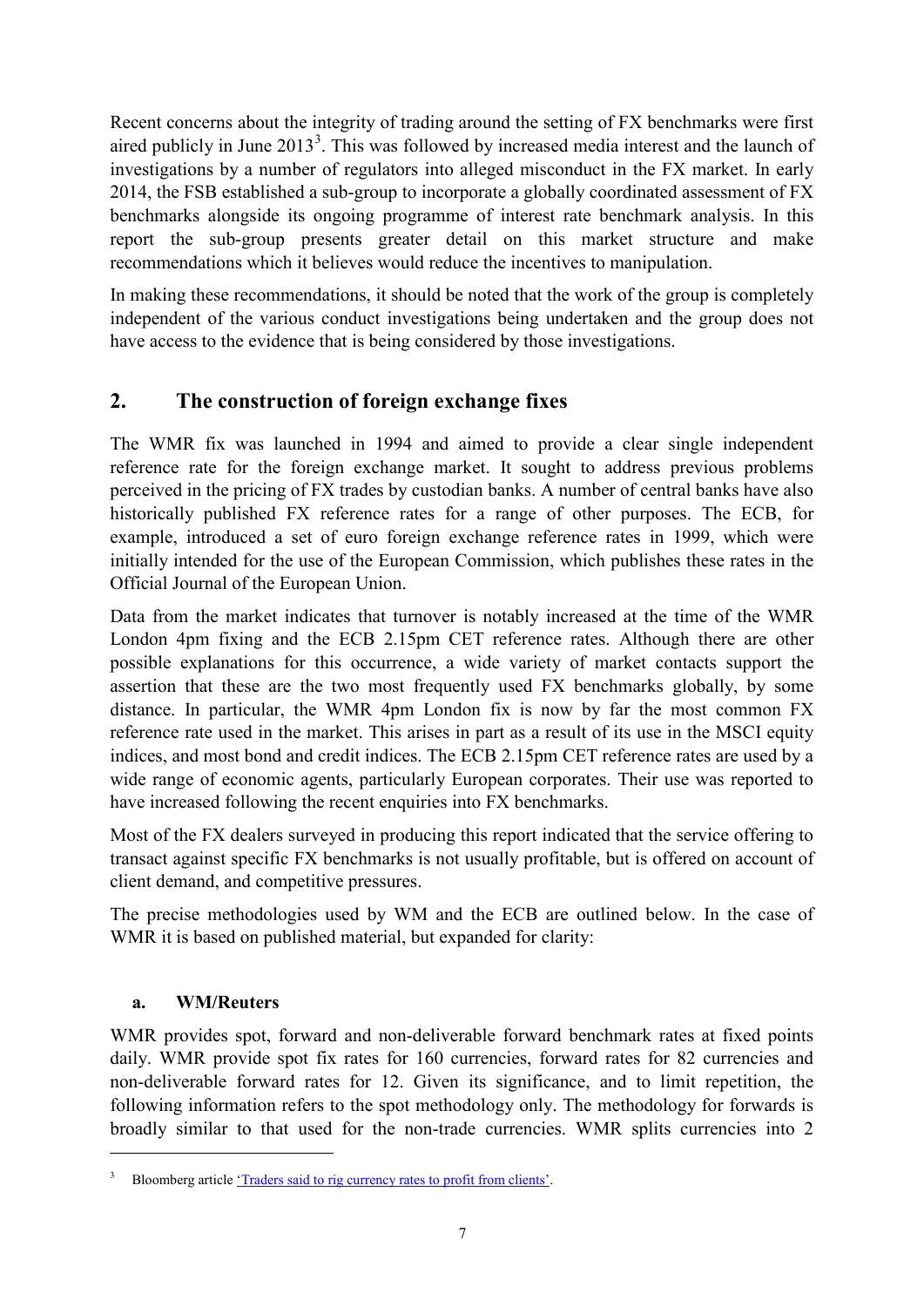Recent concerns about the integrity of trading around the setting of FX benchmarks were first aired publicly in June  $2013<sup>3</sup>$  $2013<sup>3</sup>$  $2013<sup>3</sup>$ . This was followed by increased media interest and the launch of investigations by a number of regulators into alleged misconduct in the FX market. In early 2014, the FSB established a sub-group to incorporate a globally coordinated assessment of FX benchmarks alongside its ongoing programme of interest rate benchmark analysis. In this report the sub-group presents greater detail on this market structure and make recommendations which it believes would reduce the incentives to manipulation.

In making these recommendations, it should be noted that the work of the group is completely independent of the various conduct investigations being undertaken and the group does not have access to the evidence that is being considered by those investigations.

# <span id="page-8-0"></span>**2. The construction of foreign exchange fixes**

The WMR fix was launched in 1994 and aimed to provide a clear single independent reference rate for the foreign exchange market. It sought to address previous problems perceived in the pricing of FX trades by custodian banks. A number of central banks have also historically published FX reference rates for a range of other purposes. The ECB, for example, introduced a set of euro foreign exchange reference rates in 1999, which were initially intended for the use of the European Commission, which publishes these rates in the Official Journal of the European Union.

Data from the market indicates that turnover is notably increased at the time of the WMR London 4pm fixing and the ECB 2.15pm CET reference rates. Although there are other possible explanations for this occurrence, a wide variety of market contacts support the assertion that these are the two most frequently used FX benchmarks globally, by some distance. In particular, the WMR 4pm London fix is now by far the most common FX reference rate used in the market. This arises in part as a result of its use in the MSCI equity indices, and most bond and credit indices. The ECB 2.15pm CET reference rates are used by a wide range of economic agents, particularly European corporates. Their use was reported to have increased following the recent enquiries into FX benchmarks.

Most of the FX dealers surveyed in producing this report indicated that the service offering to transact against specific FX benchmarks is not usually profitable, but is offered on account of client demand, and competitive pressures.

The precise methodologies used by WM and the ECB are outlined below. In the case of WMR it is based on published material, but expanded for clarity:

## **a. WM/Reuters**

<u>.</u>

WMR provides spot, forward and non-deliverable forward benchmark rates at fixed points daily. WMR provide spot fix rates for 160 currencies, forward rates for 82 currencies and non-deliverable forward rates for 12. Given its significance, and to limit repetition, the following information refers to the spot methodology only. The methodology for forwards is broadly similar to that used for the non-trade currencies. WMR splits currencies into 2

<span id="page-8-1"></span>Bloomberg articl[e 'Traders said to rig currency rates to profit from clients'.](http://www.bloomberg.com/news/2013-06-11/traders-said-to-rig-currency-rates-to-profit-off-clients.html)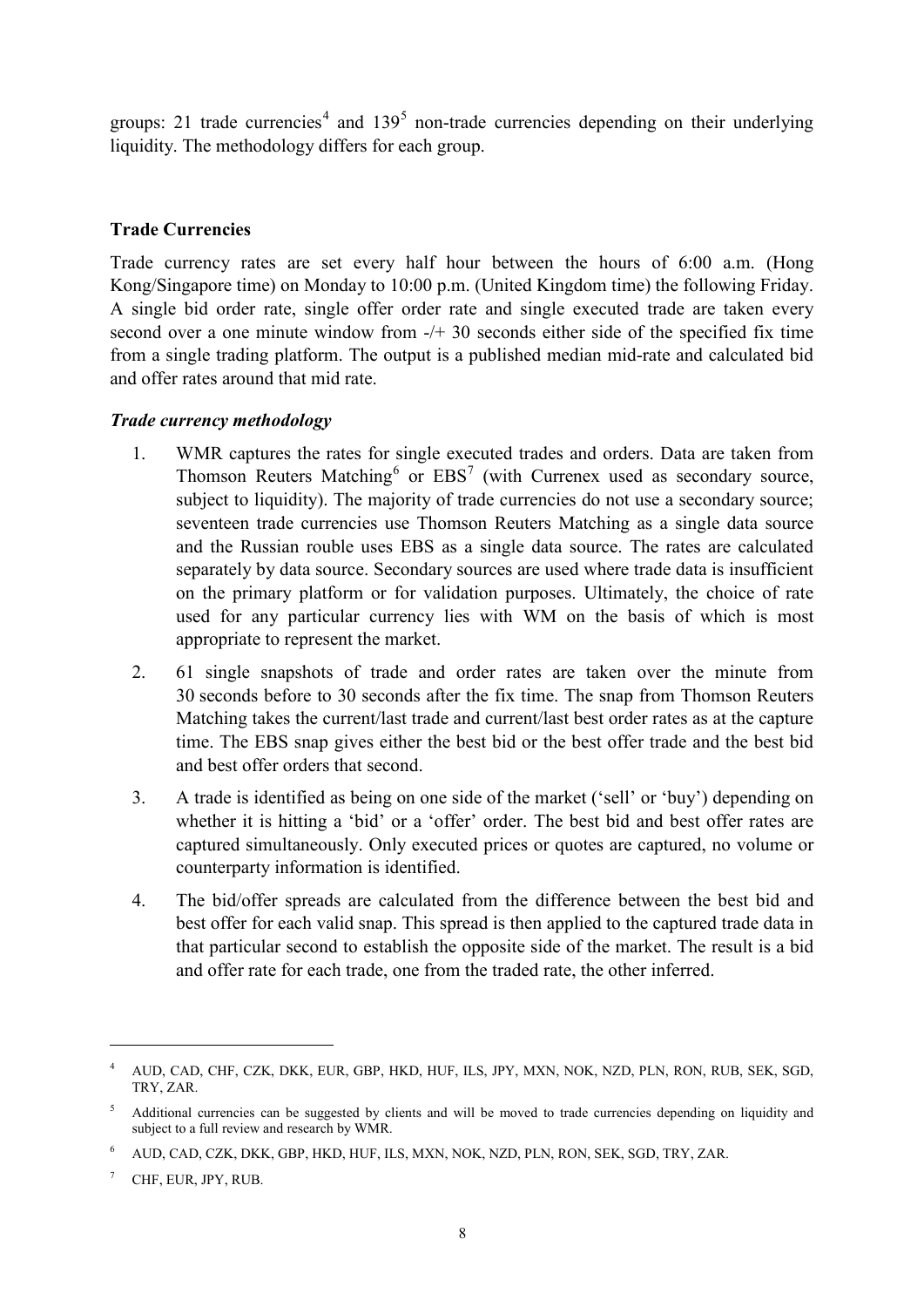groups: 21 trade currencies<sup>[4](#page-9-1)</sup> and  $139<sup>5</sup>$  $139<sup>5</sup>$  $139<sup>5</sup>$  non-trade currencies depending on their underlying liquidity. The methodology differs for each group.

#### <span id="page-9-0"></span>**Trade Currencies**

Trade currency rates are set every half hour between the hours of 6:00 a.m. (Hong Kong/Singapore time) on Monday to 10:00 p.m. (United Kingdom time) the following Friday. A single bid order rate, single offer order rate and single executed trade are taken every second over a one minute window from -/+ 30 seconds either side of the specified fix time from a single trading platform. The output is a published median mid-rate and calculated bid and offer rates around that mid rate.

#### *Trade currency methodology*

- 1. WMR captures the rates for single executed trades and orders. Data are taken from Thomson Reuters Matching<sup>[6](#page-9-3)</sup> or  $EBS<sup>7</sup>$  $EBS<sup>7</sup>$  $EBS<sup>7</sup>$  (with Currenex used as secondary source, subject to liquidity). The majority of trade currencies do not use a secondary source; seventeen trade currencies use Thomson Reuters Matching as a single data source and the Russian rouble uses EBS as a single data source. The rates are calculated separately by data source. Secondary sources are used where trade data is insufficient on the primary platform or for validation purposes. Ultimately, the choice of rate used for any particular currency lies with WM on the basis of which is most appropriate to represent the market.
- 2. 61 single snapshots of trade and order rates are taken over the minute from 30 seconds before to 30 seconds after the fix time. The snap from Thomson Reuters Matching takes the current/last trade and current/last best order rates as at the capture time. The EBS snap gives either the best bid or the best offer trade and the best bid and best offer orders that second.
- 3. A trade is identified as being on one side of the market ('sell' or 'buy') depending on whether it is hitting a 'bid' or a 'offer' order. The best bid and best offer rates are captured simultaneously. Only executed prices or quotes are captured, no volume or counterparty information is identified.
- 4. The bid/offer spreads are calculated from the difference between the best bid and best offer for each valid snap. This spread is then applied to the captured trade data in that particular second to establish the opposite side of the market. The result is a bid and offer rate for each trade, one from the traded rate, the other inferred.

-

<span id="page-9-1"></span><sup>4</sup> AUD, CAD, CHF, CZK, DKK, EUR, GBP, HKD, HUF, ILS, JPY, MXN, NOK, NZD, PLN, RON, RUB, SEK, SGD, TRY, ZAR.

<span id="page-9-2"></span><sup>5</sup> Additional currencies can be suggested by clients and will be moved to trade currencies depending on liquidity and subject to a full review and research by WMR.

<span id="page-9-3"></span><sup>6</sup> AUD, CAD, CZK, DKK, GBP, HKD, HUF, ILS, MXN, NOK, NZD, PLN, RON, SEK, SGD, TRY, ZAR.

<span id="page-9-4"></span>CHF, EUR, JPY, RUB.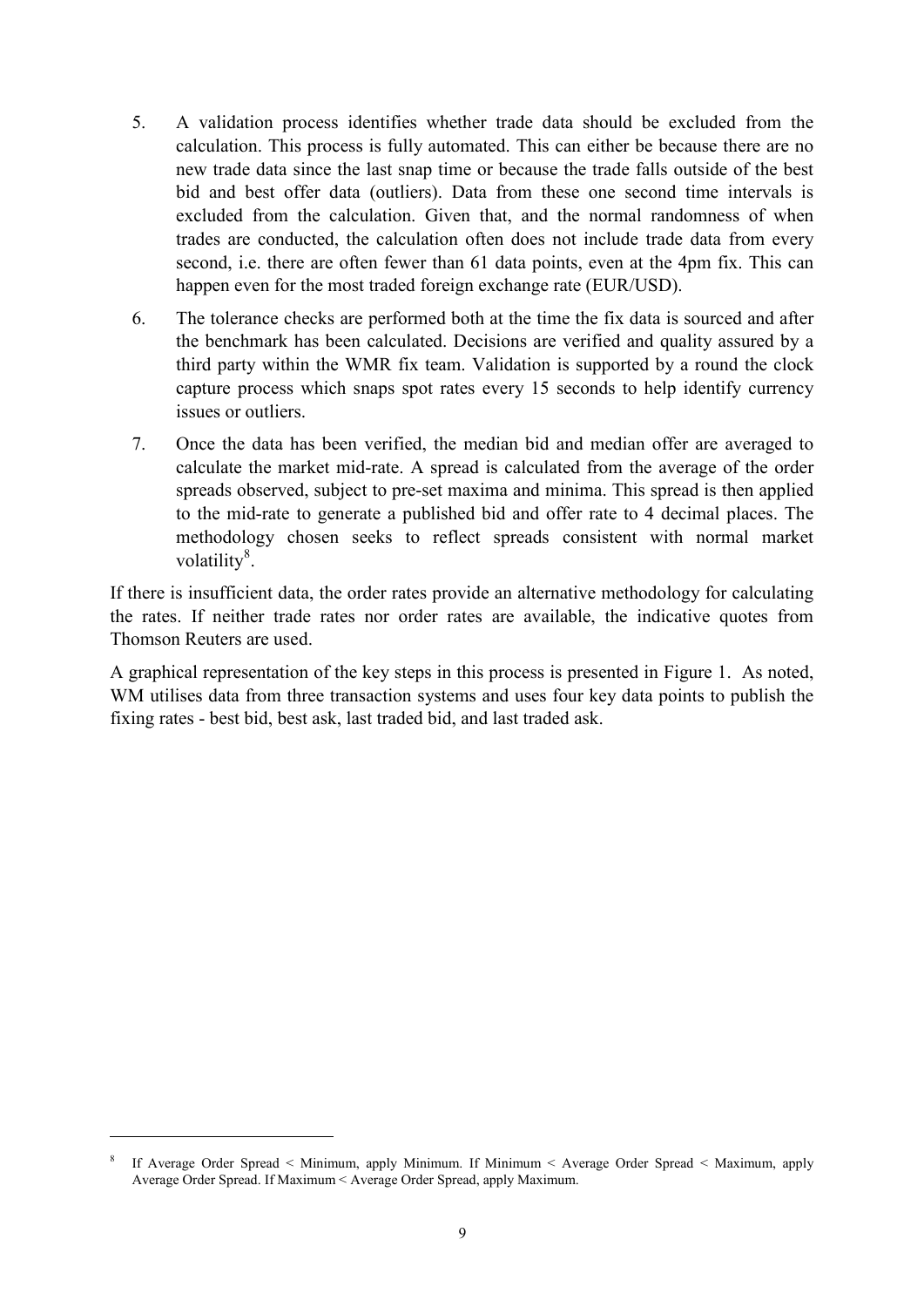- 5. A validation process identifies whether trade data should be excluded from the calculation. This process is fully automated. This can either be because there are no new trade data since the last snap time or because the trade falls outside of the best bid and best offer data (outliers). Data from these one second time intervals is excluded from the calculation. Given that, and the normal randomness of when trades are conducted, the calculation often does not include trade data from every second, i.e. there are often fewer than 61 data points, even at the 4pm fix. This can happen even for the most traded foreign exchange rate (EUR/USD).
- 6. The tolerance checks are performed both at the time the fix data is sourced and after the benchmark has been calculated. Decisions are verified and quality assured by a third party within the WMR fix team. Validation is supported by a round the clock capture process which snaps spot rates every 15 seconds to help identify currency issues or outliers.
- 7. Once the data has been verified, the median bid and median offer are averaged to calculate the market mid-rate. A spread is calculated from the average of the order spreads observed, subject to pre-set maxima and minima. This spread is then applied to the mid-rate to generate a published bid and offer rate to 4 decimal places. The methodology chosen seeks to reflect spreads consistent with normal market volatility<sup>[8](#page-10-0)</sup>.

If there is insufficient data, the order rates provide an alternative methodology for calculating the rates. If neither trade rates nor order rates are available, the indicative quotes from Thomson Reuters are used.

A graphical representation of the key steps in this process is presented in Figure 1. As noted, WM utilises data from three transaction systems and uses four key data points to publish the fixing rates - best bid, best ask, last traded bid, and last traded ask.

-

<span id="page-10-0"></span><sup>8</sup> If Average Order Spread < Minimum, apply Minimum. If Minimum < Average Order Spread < Maximum, apply Average Order Spread. If Maximum < Average Order Spread, apply Maximum.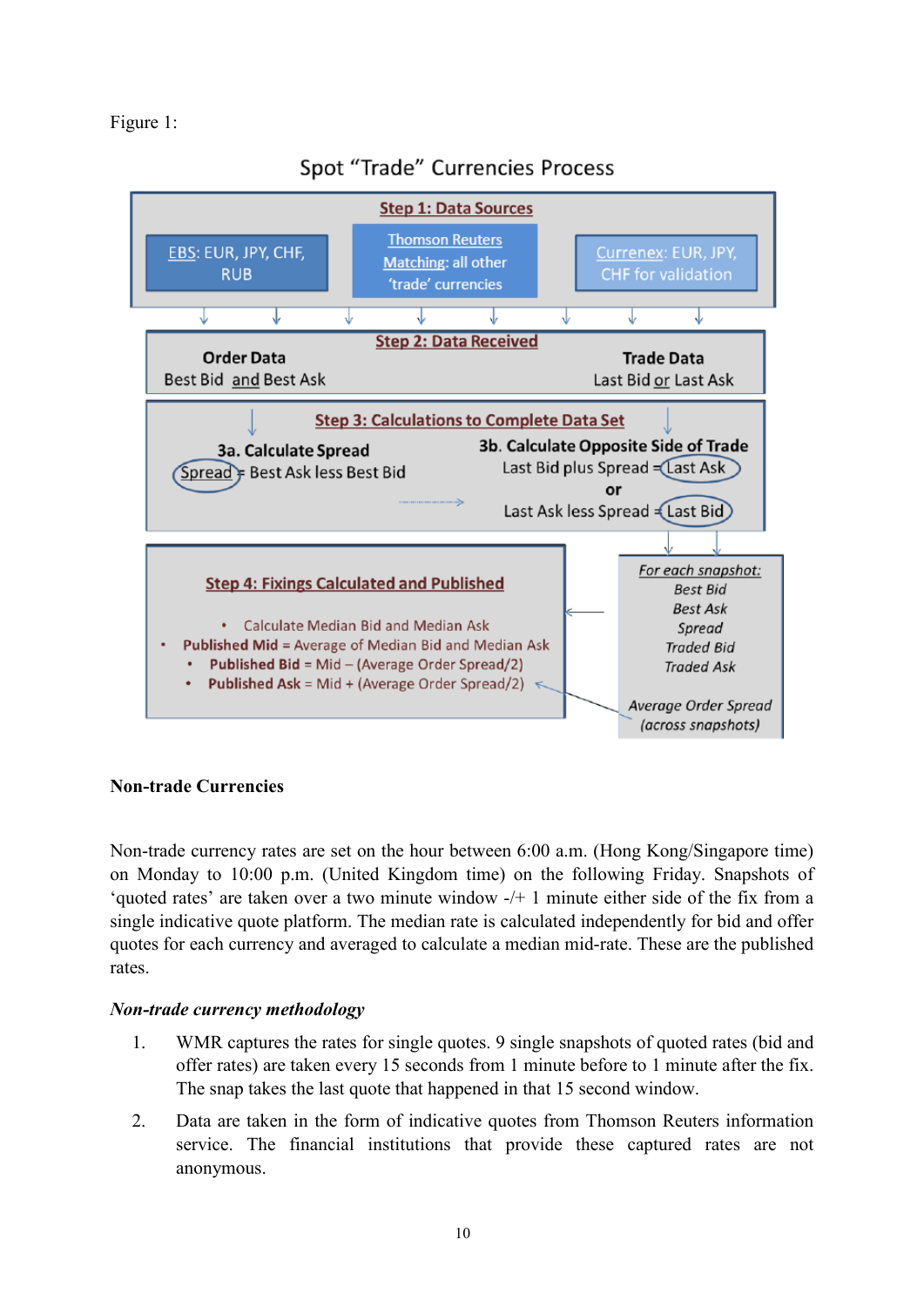#### Figure 1:



# Spot "Trade" Currencies Process

## <span id="page-11-0"></span>**Non-trade Currencies**

Non-trade currency rates are set on the hour between 6:00 a.m. (Hong Kong/Singapore time) on Monday to 10:00 p.m. (United Kingdom time) on the following Friday. Snapshots of 'quoted rates' are taken over a two minute window -/+ 1 minute either side of the fix from a single indicative quote platform. The median rate is calculated independently for bid and offer quotes for each currency and averaged to calculate a median mid-rate. These are the published rates.

#### *Non-trade currency methodology*

- 1. WMR captures the rates for single quotes. 9 single snapshots of quoted rates (bid and offer rates) are taken every 15 seconds from 1 minute before to 1 minute after the fix. The snap takes the last quote that happened in that 15 second window.
- 2. Data are taken in the form of indicative quotes from Thomson Reuters information service. The financial institutions that provide these captured rates are not anonymous.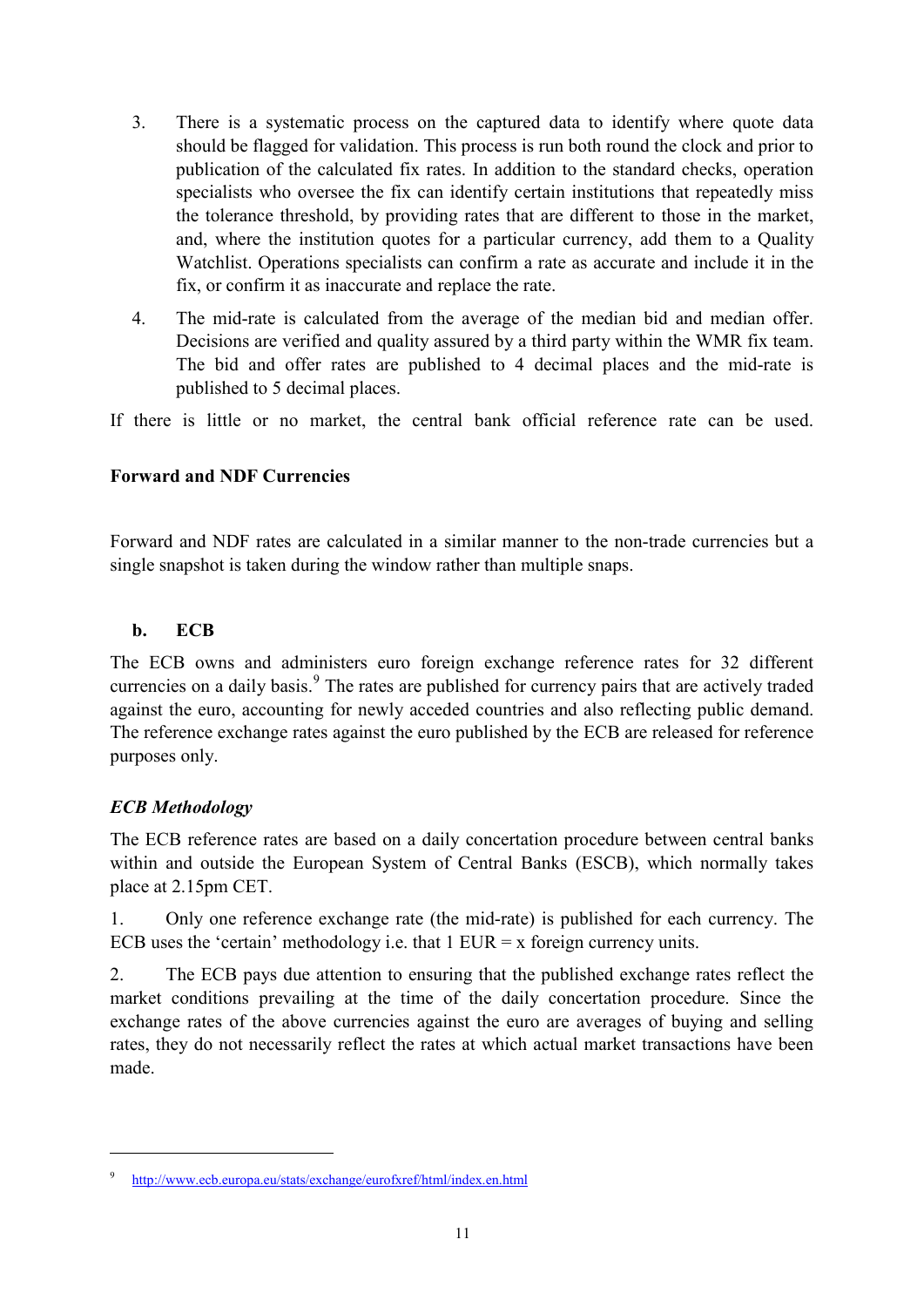- 3. There is a systematic process on the captured data to identify where quote data should be flagged for validation. This process is run both round the clock and prior to publication of the calculated fix rates. In addition to the standard checks, operation specialists who oversee the fix can identify certain institutions that repeatedly miss the tolerance threshold, by providing rates that are different to those in the market, and, where the institution quotes for a particular currency, add them to a Quality Watchlist. Operations specialists can confirm a rate as accurate and include it in the fix, or confirm it as inaccurate and replace the rate.
- 4. The mid-rate is calculated from the average of the median bid and median offer. Decisions are verified and quality assured by a third party within the WMR fix team. The bid and offer rates are published to 4 decimal places and the mid-rate is published to 5 decimal places.

If there is little or no market, the central bank official reference rate can be used.

#### **Forward and NDF Currencies**

Forward and NDF rates are calculated in a similar manner to the non-trade currencies but a single snapshot is taken during the window rather than multiple snaps.

#### **b. ECB**

The ECB owns and administers euro foreign exchange reference rates for 32 different currencies on a daily basis.<sup>[9](#page-12-1)</sup> The rates are published for currency pairs that are actively traded against the euro, accounting for newly acceded countries and also reflecting public demand. The reference exchange rates against the euro published by the ECB are released for reference purposes only.

## <span id="page-12-0"></span>*ECB Methodology*

<u>.</u>

The ECB reference rates are based on a daily concertation procedure between central banks within and outside the European System of Central Banks (ESCB), which normally takes place at 2.15pm CET.

1. Only one reference exchange rate (the mid-rate) is published for each currency. The ECB uses the 'certain' methodology i.e. that  $1$  EUR = x foreign currency units.

2. The ECB pays due attention to ensuring that the published exchange rates reflect the market conditions prevailing at the time of the daily concertation procedure. Since the exchange rates of the above currencies against the euro are averages of buying and selling rates, they do not necessarily reflect the rates at which actual market transactions have been made.

<span id="page-12-1"></span><sup>9</sup> <http://www.ecb.europa.eu/stats/exchange/eurofxref/html/index.en.html>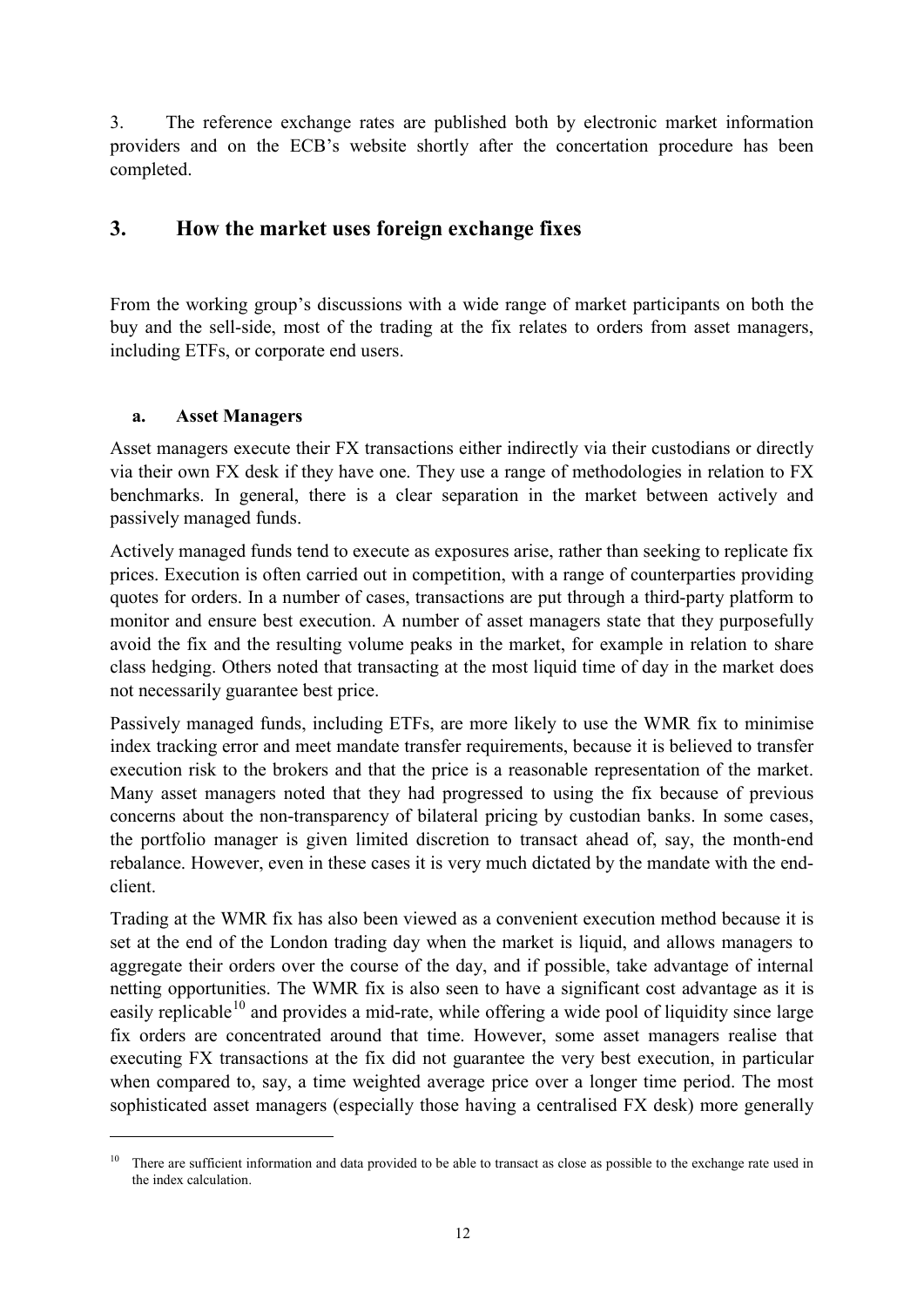3. The reference exchange rates are published both by electronic market information providers and on the ECB's website shortly after the concertation procedure has been completed.

# <span id="page-13-0"></span>**3. How the market uses foreign exchange fixes**

From the working group's discussions with a wide range of market participants on both the buy and the sell-side, most of the trading at the fix relates to orders from asset managers, including ETFs, or corporate end users.

#### **a. Asset Managers**

-

Asset managers execute their FX transactions either indirectly via their custodians or directly via their own FX desk if they have one. They use a range of methodologies in relation to FX benchmarks. In general, there is a clear separation in the market between actively and passively managed funds.

Actively managed funds tend to execute as exposures arise, rather than seeking to replicate fix prices. Execution is often carried out in competition, with a range of counterparties providing quotes for orders. In a number of cases, transactions are put through a third-party platform to monitor and ensure best execution. A number of asset managers state that they purposefully avoid the fix and the resulting volume peaks in the market, for example in relation to share class hedging. Others noted that transacting at the most liquid time of day in the market does not necessarily guarantee best price.

Passively managed funds, including ETFs, are more likely to use the WMR fix to minimise index tracking error and meet mandate transfer requirements, because it is believed to transfer execution risk to the brokers and that the price is a reasonable representation of the market. Many asset managers noted that they had progressed to using the fix because of previous concerns about the non-transparency of bilateral pricing by custodian banks. In some cases, the portfolio manager is given limited discretion to transact ahead of, say, the month‐end rebalance. However, even in these cases it is very much dictated by the mandate with the endclient.

Trading at the WMR fix has also been viewed as a convenient execution method because it is set at the end of the London trading day when the market is liquid, and allows managers to aggregate their orders over the course of the day, and if possible, take advantage of internal netting opportunities. The WMR fix is also seen to have a significant cost advantage as it is easily replicable $10$  and provides a mid-rate, while offering a wide pool of liquidity since large fix orders are concentrated around that time. However, some asset managers realise that executing FX transactions at the fix did not guarantee the very best execution, in particular when compared to, say, a time weighted average price over a longer time period. The most sophisticated asset managers (especially those having a centralised FX desk) more generally

<span id="page-13-1"></span><sup>&</sup>lt;sup>10</sup> There are sufficient information and data provided to be able to transact as close as possible to the exchange rate used in the index calculation.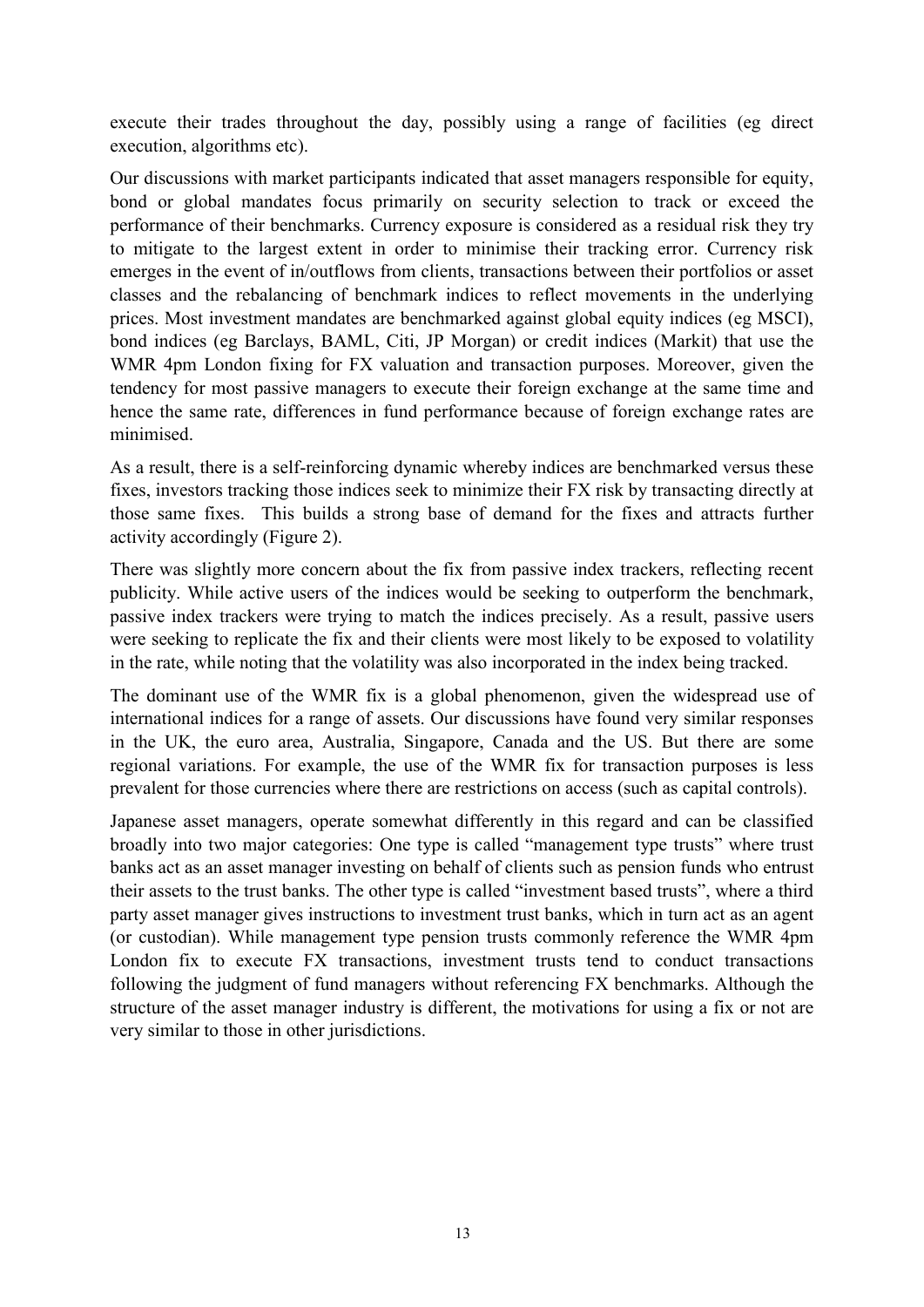execute their trades throughout the day, possibly using a range of facilities (eg direct execution, algorithms etc).

Our discussions with market participants indicated that asset managers responsible for equity, bond or global mandates focus primarily on security selection to track or exceed the performance of their benchmarks. Currency exposure is considered as a residual risk they try to mitigate to the largest extent in order to minimise their tracking error. Currency risk emerges in the event of in/outflows from clients, transactions between their portfolios or asset classes and the rebalancing of benchmark indices to reflect movements in the underlying prices. Most investment mandates are benchmarked against global equity indices (eg MSCI), bond indices (eg Barclays, BAML, Citi, JP Morgan) or credit indices (Markit) that use the WMR 4pm London fixing for FX valuation and transaction purposes. Moreover, given the tendency for most passive managers to execute their foreign exchange at the same time and hence the same rate, differences in fund performance because of foreign exchange rates are minimised.

As a result, there is a self-reinforcing dynamic whereby indices are benchmarked versus these fixes, investors tracking those indices seek to minimize their FX risk by transacting directly at those same fixes. This builds a strong base of demand for the fixes and attracts further activity accordingly (Figure 2).

There was slightly more concern about the fix from passive index trackers, reflecting recent publicity. While active users of the indices would be seeking to outperform the benchmark, passive index trackers were trying to match the indices precisely. As a result, passive users were seeking to replicate the fix and their clients were most likely to be exposed to volatility in the rate, while noting that the volatility was also incorporated in the index being tracked.

The dominant use of the WMR fix is a global phenomenon, given the widespread use of international indices for a range of assets. Our discussions have found very similar responses in the UK, the euro area, Australia, Singapore, Canada and the US. But there are some regional variations. For example, the use of the WMR fix for transaction purposes is less prevalent for those currencies where there are restrictions on access (such as capital controls).

Japanese asset managers, operate somewhat differently in this regard and can be classified broadly into two major categories: One type is called "management type trusts" where trust banks act as an asset manager investing on behalf of clients such as pension funds who entrust their assets to the trust banks. The other type is called "investment based trusts", where a third party asset manager gives instructions to investment trust banks, which in turn act as an agent (or custodian). While management type pension trusts commonly reference the WMR 4pm London fix to execute FX transactions, investment trusts tend to conduct transactions following the judgment of fund managers without referencing FX benchmarks. Although the structure of the asset manager industry is different, the motivations for using a fix or not are very similar to those in other jurisdictions.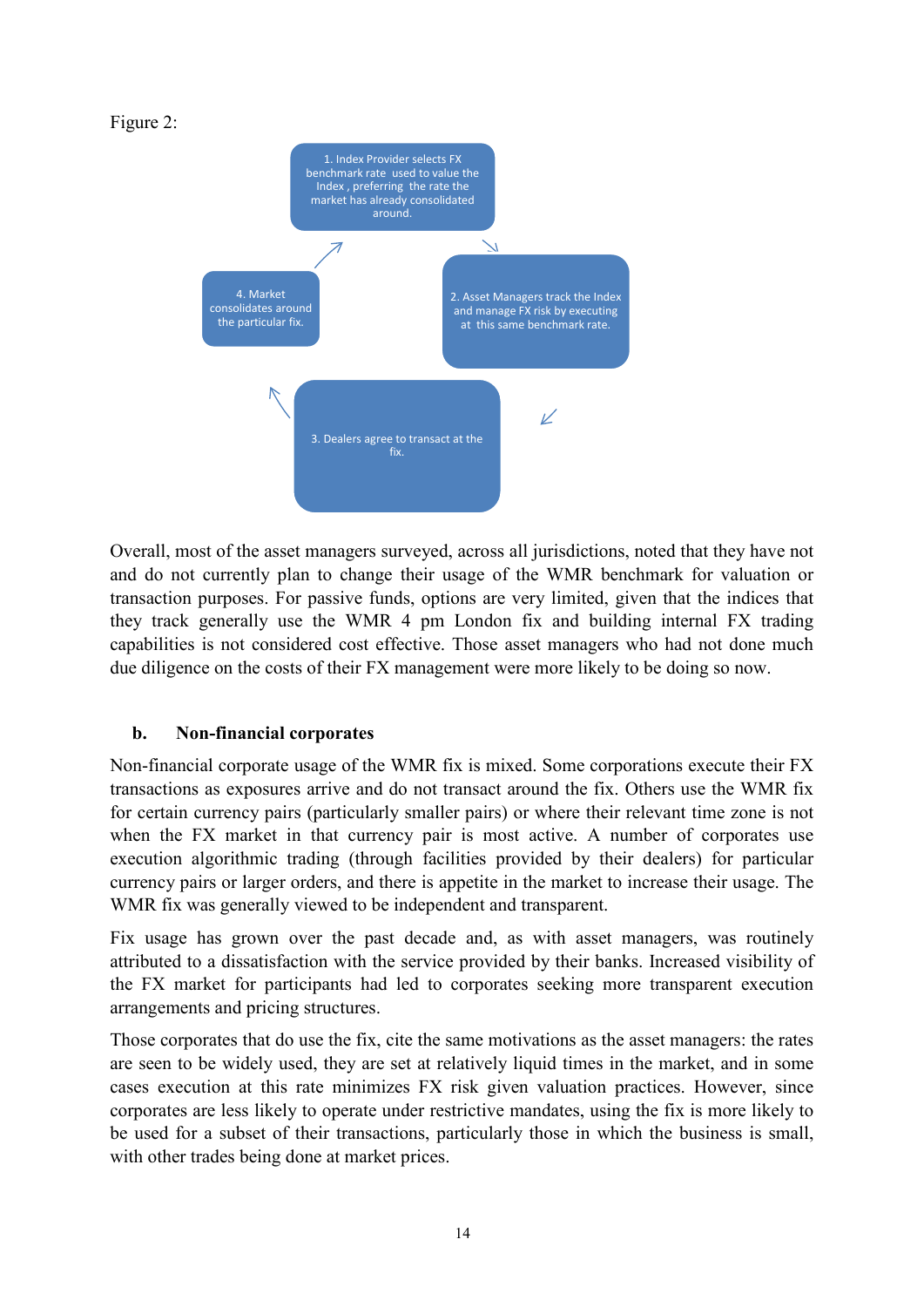#### Figure 2:



Overall, most of the asset managers surveyed, across all jurisdictions, noted that they have not and do not currently plan to change their usage of the WMR benchmark for valuation or transaction purposes. For passive funds, options are very limited, given that the indices that they track generally use the WMR 4 pm London fix and building internal FX trading capabilities is not considered cost effective. Those asset managers who had not done much due diligence on the costs of their FX management were more likely to be doing so now.

#### **b. Non-financial corporates**

Non-financial corporate usage of the WMR fix is mixed. Some corporations execute their FX transactions as exposures arrive and do not transact around the fix. Others use the WMR fix for certain currency pairs (particularly smaller pairs) or where their relevant time zone is not when the FX market in that currency pair is most active. A number of corporates use execution algorithmic trading (through facilities provided by their dealers) for particular currency pairs or larger orders, and there is appetite in the market to increase their usage. The WMR fix was generally viewed to be independent and transparent.

Fix usage has grown over the past decade and, as with asset managers, was routinely attributed to a dissatisfaction with the service provided by their banks. Increased visibility of the FX market for participants had led to corporates seeking more transparent execution arrangements and pricing structures.

Those corporates that do use the fix, cite the same motivations as the asset managers: the rates are seen to be widely used, they are set at relatively liquid times in the market, and in some cases execution at this rate minimizes FX risk given valuation practices. However, since corporates are less likely to operate under restrictive mandates, using the fix is more likely to be used for a subset of their transactions, particularly those in which the business is small, with other trades being done at market prices.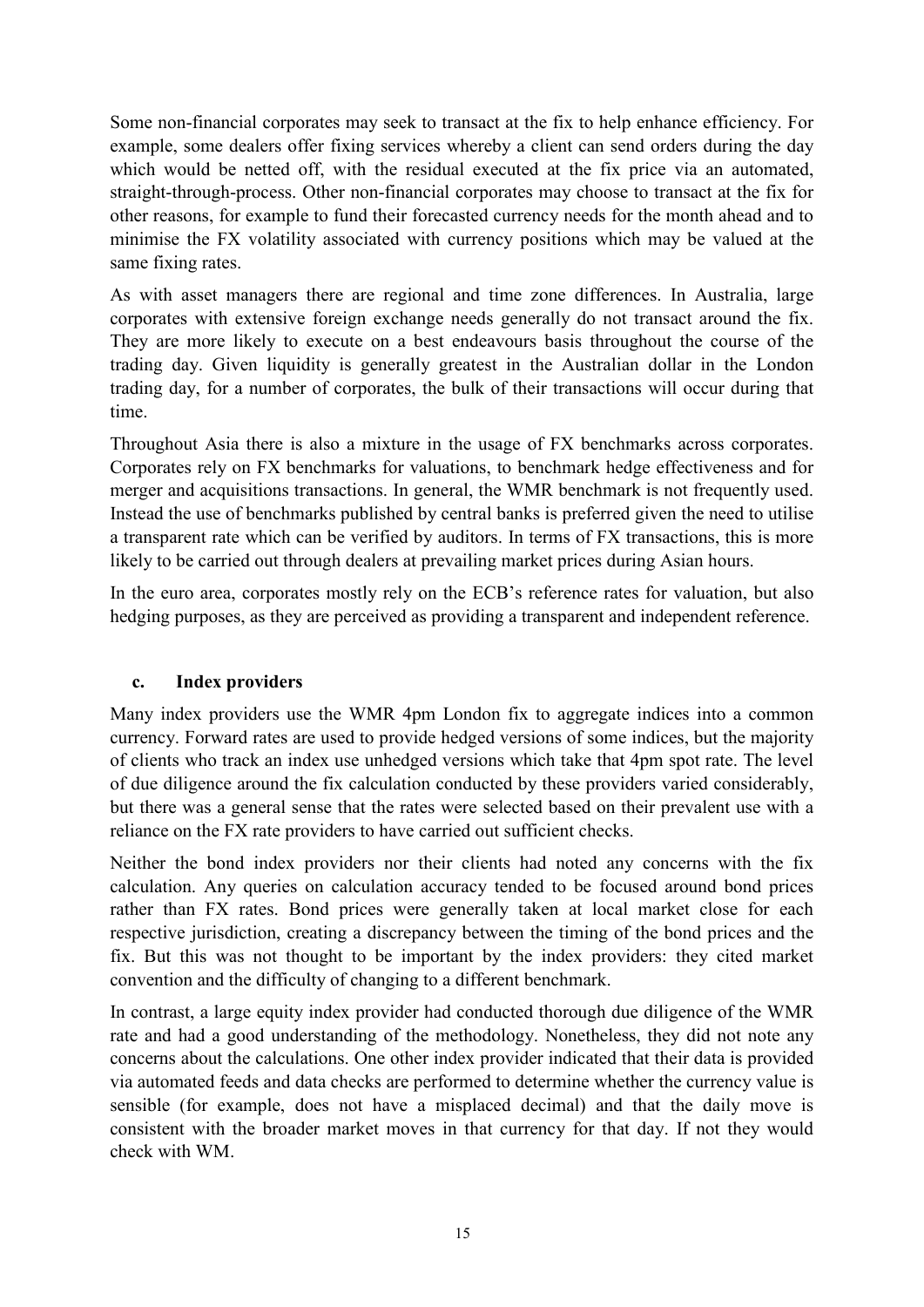Some non-financial corporates may seek to transact at the fix to help enhance efficiency. For example, some dealers offer fixing services whereby a client can send orders during the day which would be netted off, with the residual executed at the fix price via an automated, straight-through-process. Other non-financial corporates may choose to transact at the fix for other reasons, for example to fund their forecasted currency needs for the month ahead and to minimise the FX volatility associated with currency positions which may be valued at the same fixing rates.

As with asset managers there are regional and time zone differences. In Australia, large corporates with extensive foreign exchange needs generally do not transact around the fix. They are more likely to execute on a best endeavours basis throughout the course of the trading day. Given liquidity is generally greatest in the Australian dollar in the London trading day, for a number of corporates, the bulk of their transactions will occur during that time.

Throughout Asia there is also a mixture in the usage of FX benchmarks across corporates. Corporates rely on FX benchmarks for valuations, to benchmark hedge effectiveness and for merger and acquisitions transactions. In general, the WMR benchmark is not frequently used. Instead the use of benchmarks published by central banks is preferred given the need to utilise a transparent rate which can be verified by auditors. In terms of FX transactions, this is more likely to be carried out through dealers at prevailing market prices during Asian hours.

In the euro area, corporates mostly rely on the ECB's reference rates for valuation, but also hedging purposes, as they are perceived as providing a transparent and independent reference.

#### **c. Index providers**

Many index providers use the WMR 4pm London fix to aggregate indices into a common currency. Forward rates are used to provide hedged versions of some indices, but the majority of clients who track an index use unhedged versions which take that 4pm spot rate. The level of due diligence around the fix calculation conducted by these providers varied considerably, but there was a general sense that the rates were selected based on their prevalent use with a reliance on the FX rate providers to have carried out sufficient checks.

Neither the bond index providers nor their clients had noted any concerns with the fix calculation. Any queries on calculation accuracy tended to be focused around bond prices rather than FX rates. Bond prices were generally taken at local market close for each respective jurisdiction, creating a discrepancy between the timing of the bond prices and the fix. But this was not thought to be important by the index providers: they cited market convention and the difficulty of changing to a different benchmark.

In contrast, a large equity index provider had conducted thorough due diligence of the WMR rate and had a good understanding of the methodology. Nonetheless, they did not note any concerns about the calculations. One other index provider indicated that their data is provided via automated feeds and data checks are performed to determine whether the currency value is sensible (for example, does not have a misplaced decimal) and that the daily move is consistent with the broader market moves in that currency for that day. If not they would check with WM.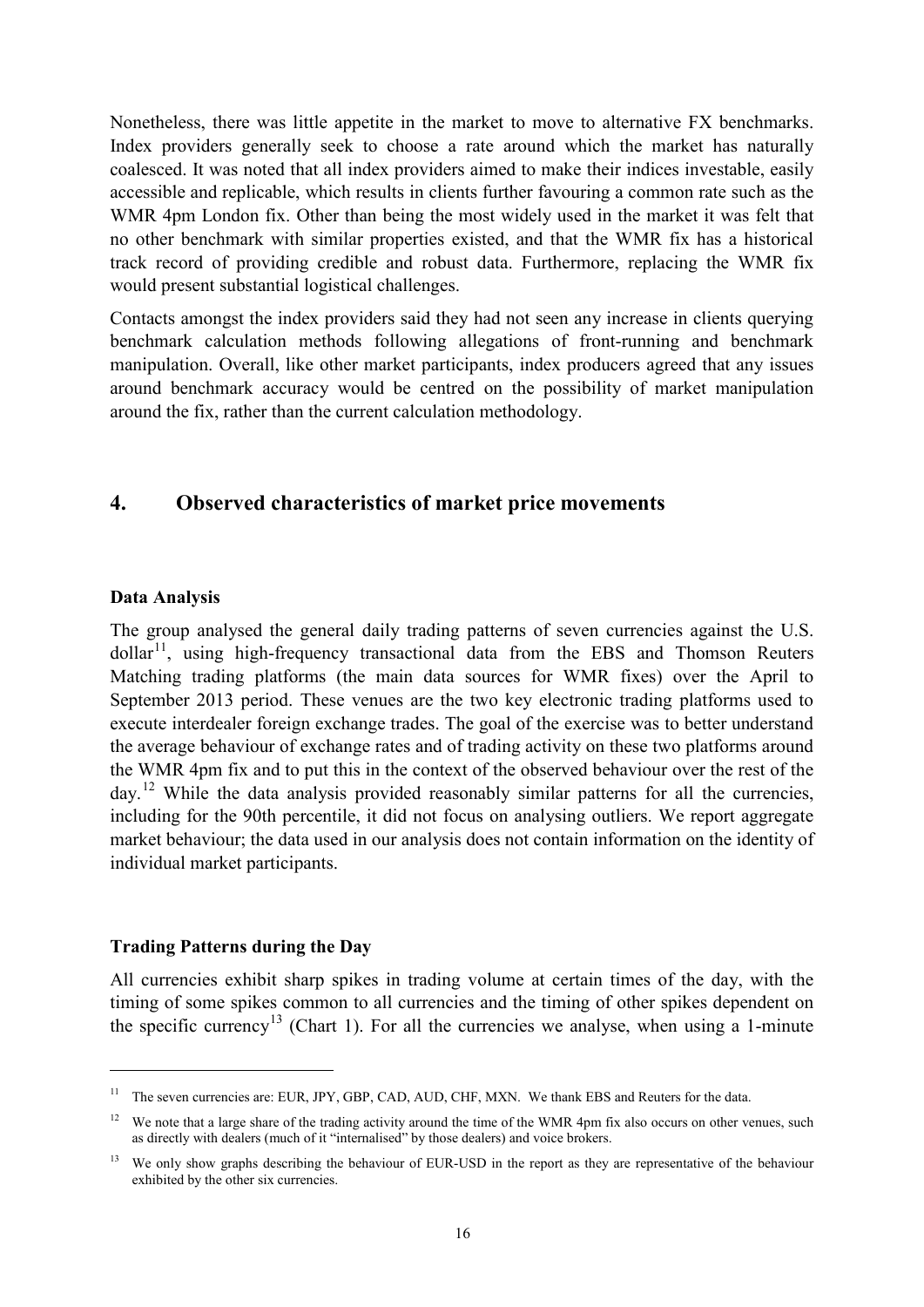Nonetheless, there was little appetite in the market to move to alternative FX benchmarks. Index providers generally seek to choose a rate around which the market has naturally coalesced. It was noted that all index providers aimed to make their indices investable, easily accessible and replicable, which results in clients further favouring a common rate such as the WMR 4pm London fix. Other than being the most widely used in the market it was felt that no other benchmark with similar properties existed, and that the WMR fix has a historical track record of providing credible and robust data. Furthermore, replacing the WMR fix would present substantial logistical challenges.

Contacts amongst the index providers said they had not seen any increase in clients querying benchmark calculation methods following allegations of front-running and benchmark manipulation. Overall, like other market participants, index producers agreed that any issues around benchmark accuracy would be centred on the possibility of market manipulation around the fix, rather than the current calculation methodology.

## <span id="page-17-0"></span>**4. Observed characteristics of market price movements**

#### <span id="page-17-1"></span>**Data Analysis**

-

The group analysed the general daily trading patterns of seven currencies against the U.S.  $\text{dollar}^{11}$ , using high-frequency transactional data from the EBS and Thomson Reuters Matching trading platforms (the main data sources for WMR fixes) over the April to September 2013 period. These venues are the two key electronic trading platforms used to execute interdealer foreign exchange trades. The goal of the exercise was to better understand the average behaviour of exchange rates and of trading activity on these two platforms around the WMR 4pm fix and to put this in the context of the observed behaviour over the rest of the day.<sup>[12](#page-17-4)</sup> While the data analysis provided reasonably similar patterns for all the currencies, including for the 90th percentile, it did not focus on analysing outliers. We report aggregate market behaviour; the data used in our analysis does not contain information on the identity of individual market participants.

#### <span id="page-17-2"></span>**Trading Patterns during the Day**

All currencies exhibit sharp spikes in trading volume at certain times of the day, with the timing of some spikes common to all currencies and the timing of other spikes dependent on the specific currency<sup>[13](#page-17-5)</sup> (Chart 1). For all the currencies we analyse, when using a 1-minute

<span id="page-17-3"></span><sup>&</sup>lt;sup>11</sup> The seven currencies are: EUR, JPY, GBP, CAD, AUD, CHF, MXN. We thank EBS and Reuters for the data.

<span id="page-17-4"></span><sup>&</sup>lt;sup>12</sup> We note that a large share of the trading activity around the time of the WMR 4pm fix also occurs on other venues, such as directly with dealers (much of it "internalised" by those dealers) and voice brokers.

<span id="page-17-5"></span><sup>&</sup>lt;sup>13</sup> We only show graphs describing the behaviour of EUR-USD in the report as they are representative of the behaviour exhibited by the other six currencies.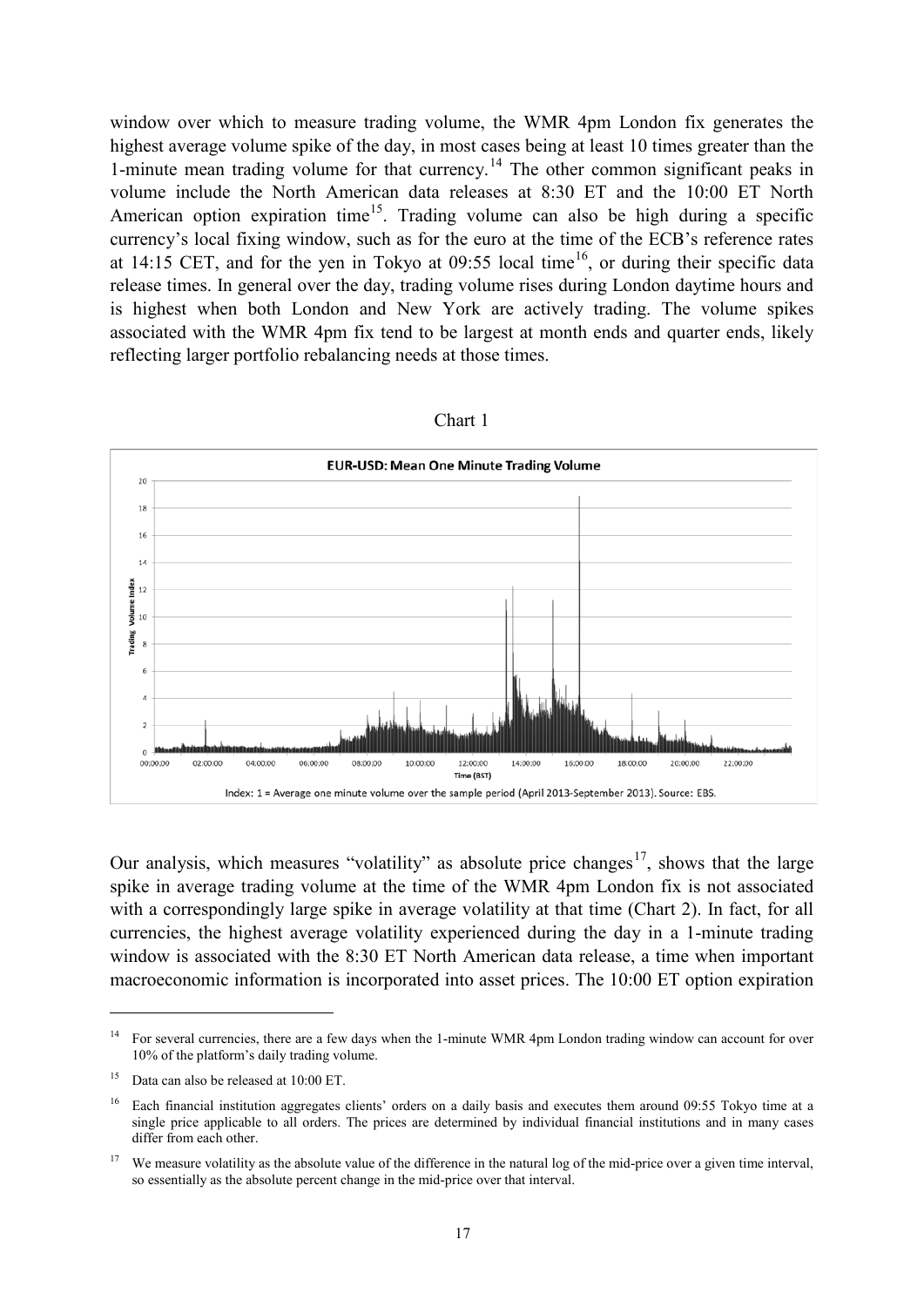window over which to measure trading volume, the WMR 4pm London fix generates the highest average volume spike of the day, in most cases being at least 10 times greater than the 1-minute mean trading volume for that currency.<sup>[14](#page-18-0)</sup> The other common significant peaks in volume include the North American data releases at 8:30 ET and the 10:00 ET North American option expiration time<sup>15</sup>. Trading volume can also be high during a specific currency's local fixing window, such as for the euro at the time of the ECB's reference rates at 14:15 CET, and for the yen in Tokyo at  $09:55$  local time<sup>16</sup>, or during their specific data release times. In general over the day, trading volume rises during London daytime hours and is highest when both London and New York are actively trading. The volume spikes associated with the WMR 4pm fix tend to be largest at month ends and quarter ends, likely reflecting larger portfolio rebalancing needs at those times.



Chart 1

Our analysis, which measures "volatility" as absolute price changes<sup>17</sup>, shows that the large spike in average trading volume at the time of the WMR 4pm London fix is not associated with a correspondingly large spike in average volatility at that time (Chart 2). In fact, for all currencies, the highest average volatility experienced during the day in a 1-minute trading window is associated with the 8:30 ET North American data release, a time when important macroeconomic information is incorporated into asset prices. The 10:00 ET option expiration

-

<span id="page-18-0"></span><sup>&</sup>lt;sup>14</sup> For several currencies, there are a few days when the 1-minute WMR 4pm London trading window can account for over 10% of the platform's daily trading volume.

<span id="page-18-1"></span><sup>&</sup>lt;sup>15</sup> Data can also be released at  $10:00$  ET.

<span id="page-18-2"></span><sup>16</sup> Each financial institution aggregates clients' orders on a daily basis and executes them around 09:55 Tokyo time at a single price applicable to all orders. The prices are determined by individual financial institutions and in many cases differ from each other.

<span id="page-18-3"></span><sup>&</sup>lt;sup>17</sup> We measure volatility as the absolute value of the difference in the natural log of the mid-price over a given time interval, so essentially as the absolute percent change in the mid-price over that interval.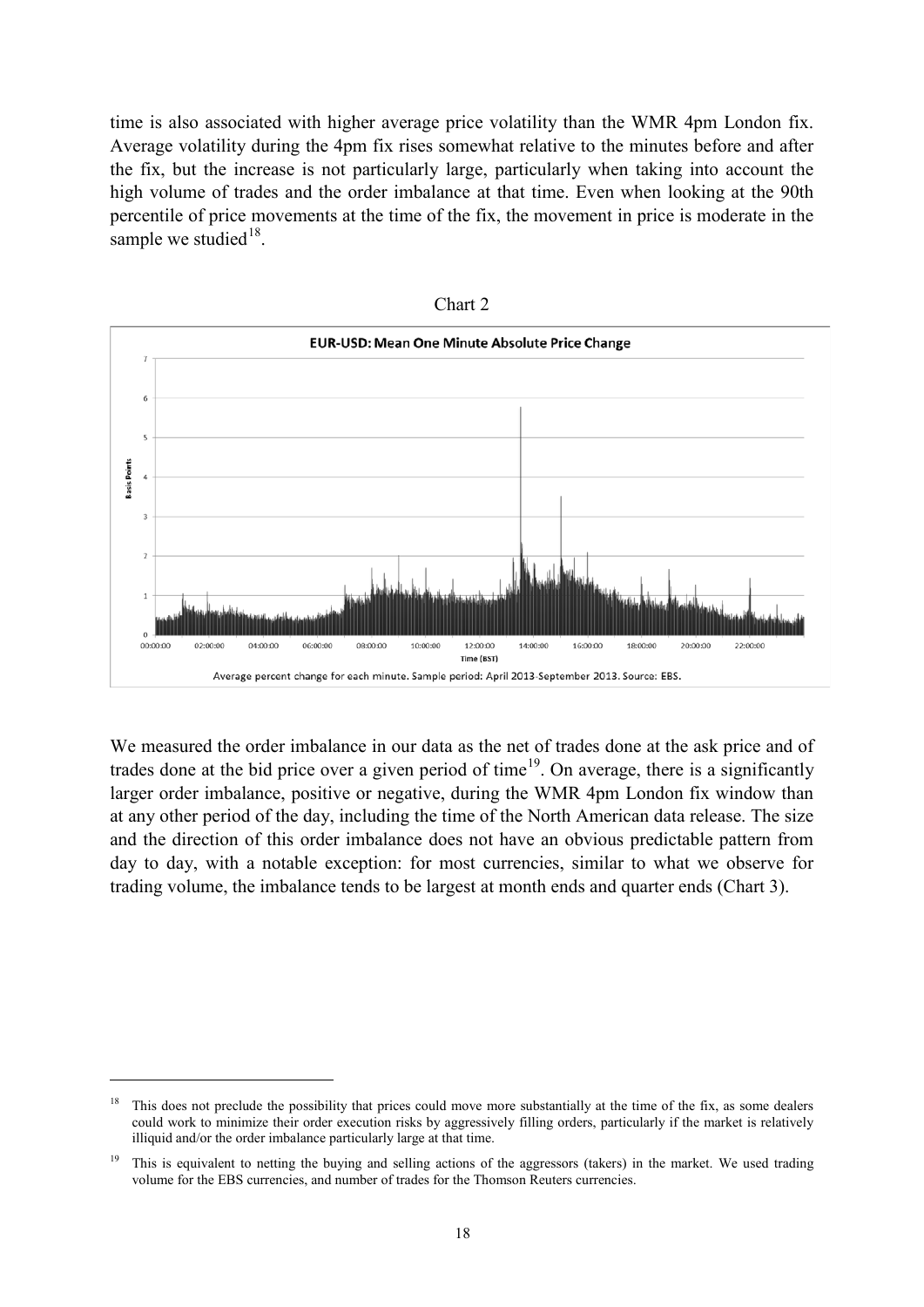time is also associated with higher average price volatility than the WMR 4pm London fix. Average volatility during the 4pm fix rises somewhat relative to the minutes before and after the fix, but the increase is not particularly large, particularly when taking into account the high volume of trades and the order imbalance at that time. Even when looking at the 90th percentile of price movements at the time of the fix, the movement in price is moderate in the sample we studied $18$ .





We measured the order imbalance in our data as the net of trades done at the ask price and of trades done at the bid price over a given period of time<sup>[19](#page-19-1)</sup>. On average, there is a significantly larger order imbalance, positive or negative, during the WMR 4pm London fix window than at any other period of the day, including the time of the North American data release. The size and the direction of this order imbalance does not have an obvious predictable pattern from day to day, with a notable exception: for most currencies, similar to what we observe for trading volume, the imbalance tends to be largest at month ends and quarter ends (Chart 3).

-

<span id="page-19-0"></span> $18$  This does not preclude the possibility that prices could move more substantially at the time of the fix, as some dealers could work to minimize their order execution risks by aggressively filling orders, particularly if the market is relatively illiquid and/or the order imbalance particularly large at that time.

<span id="page-19-1"></span><sup>&</sup>lt;sup>19</sup> This is equivalent to netting the buying and selling actions of the aggressors (takers) in the market. We used trading volume for the EBS currencies, and number of trades for the Thomson Reuters currencies.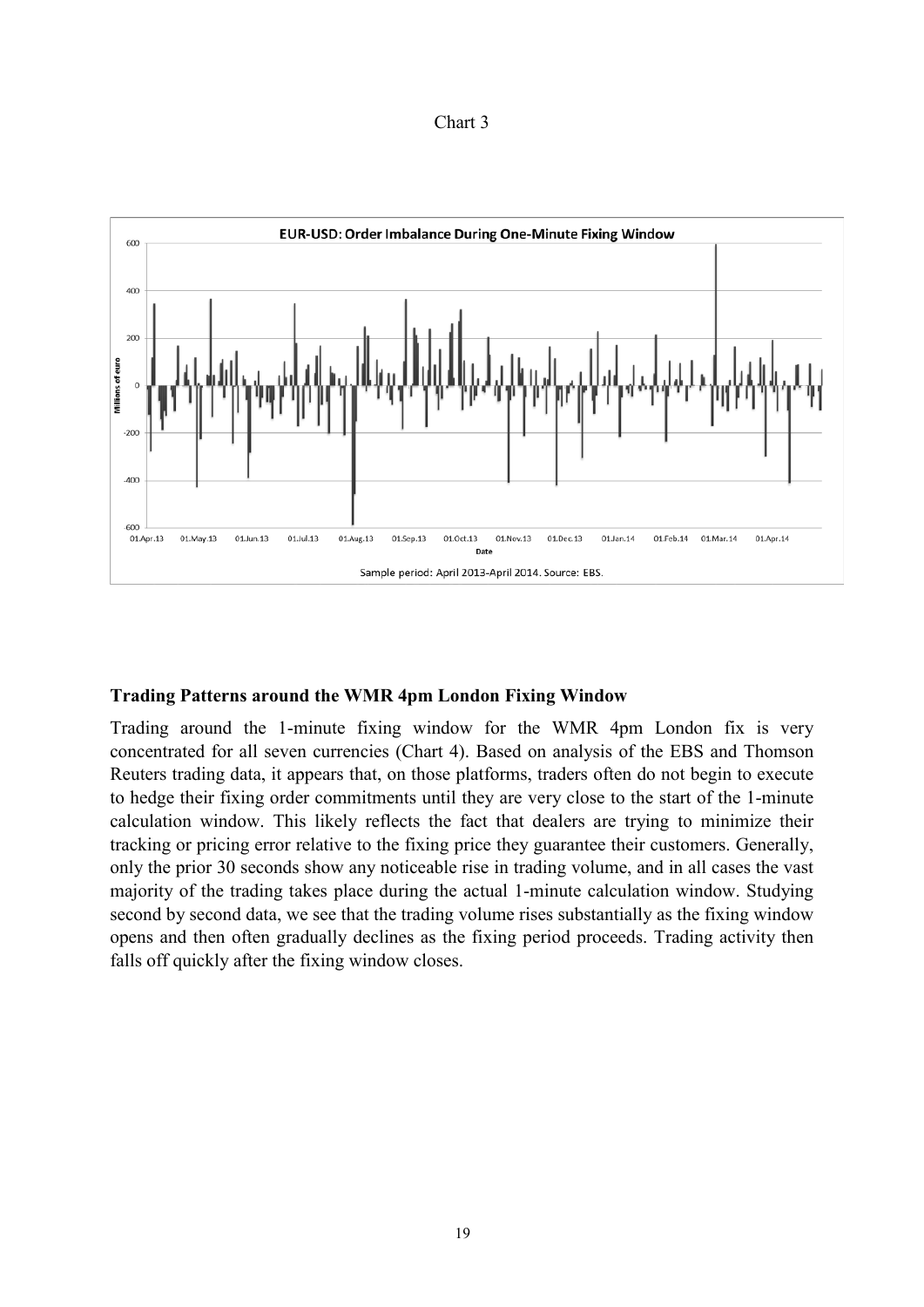| nart |  |
|------|--|
|------|--|

<span id="page-20-0"></span>

#### **Trading Patterns around the WMR 4pm London Fixing Window**

Trading around the 1-minute fixing window for the WMR 4pm London fix is very concentrated for all seven currencies (Chart 4). Based on analysis of the EBS and Thomson Reuters trading data, it appears that, on those platforms, traders often do not begin to execute to hedge their fixing order commitments until they are very close to the start of the 1-minute calculation window. This likely reflects the fact that dealers are trying to minimize their tracking or pricing error relative to the fixing price they guarantee their customers. Generally, only the prior 30 seconds show any noticeable rise in trading volume, and in all cases the vast majority of the trading takes place during the actual 1-minute calculation window. Studying second by second data, we see that the trading volume rises substantially as the fixing window opens and then often gradually declines as the fixing period proceeds. Trading activity then falls off quickly after the fixing window closes.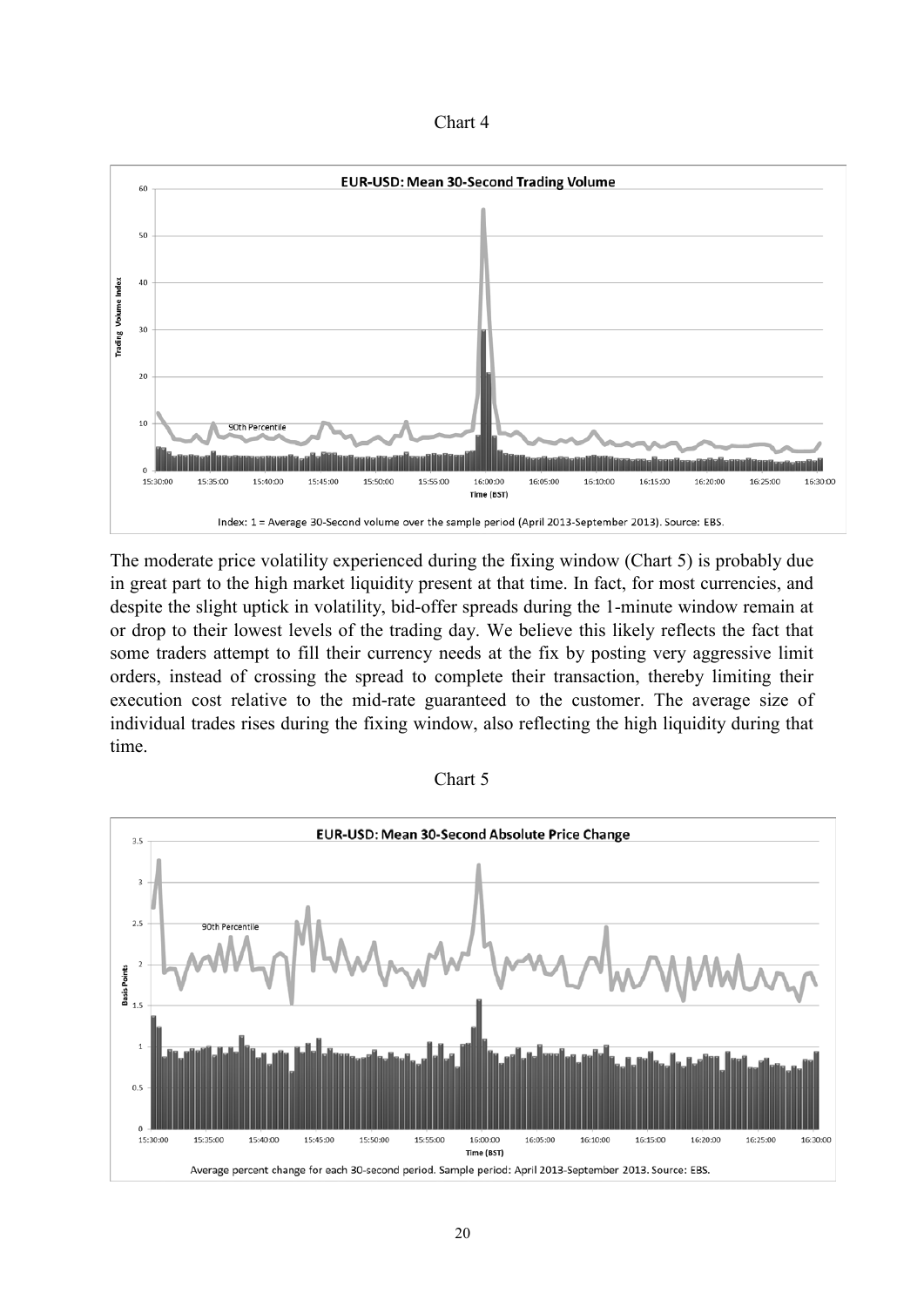

The moderate price volatility experienced during the fixing window (Chart 5) is probably due in great part to the high market liquidity present at that time. In fact, for most currencies, and despite the slight uptick in volatility, bid-offer spreads during the 1-minute window remain at or drop to their lowest levels of the trading day. We believe this likely reflects the fact that some traders attempt to fill their currency needs at the fix by posting very aggressive limit orders, instead of crossing the spread to complete their transaction, thereby limiting their execution cost relative to the mid-rate guaranteed to the customer. The average size of individual trades rises during the fixing window, also reflecting the high liquidity during that time.

| hart |  |
|------|--|
|------|--|

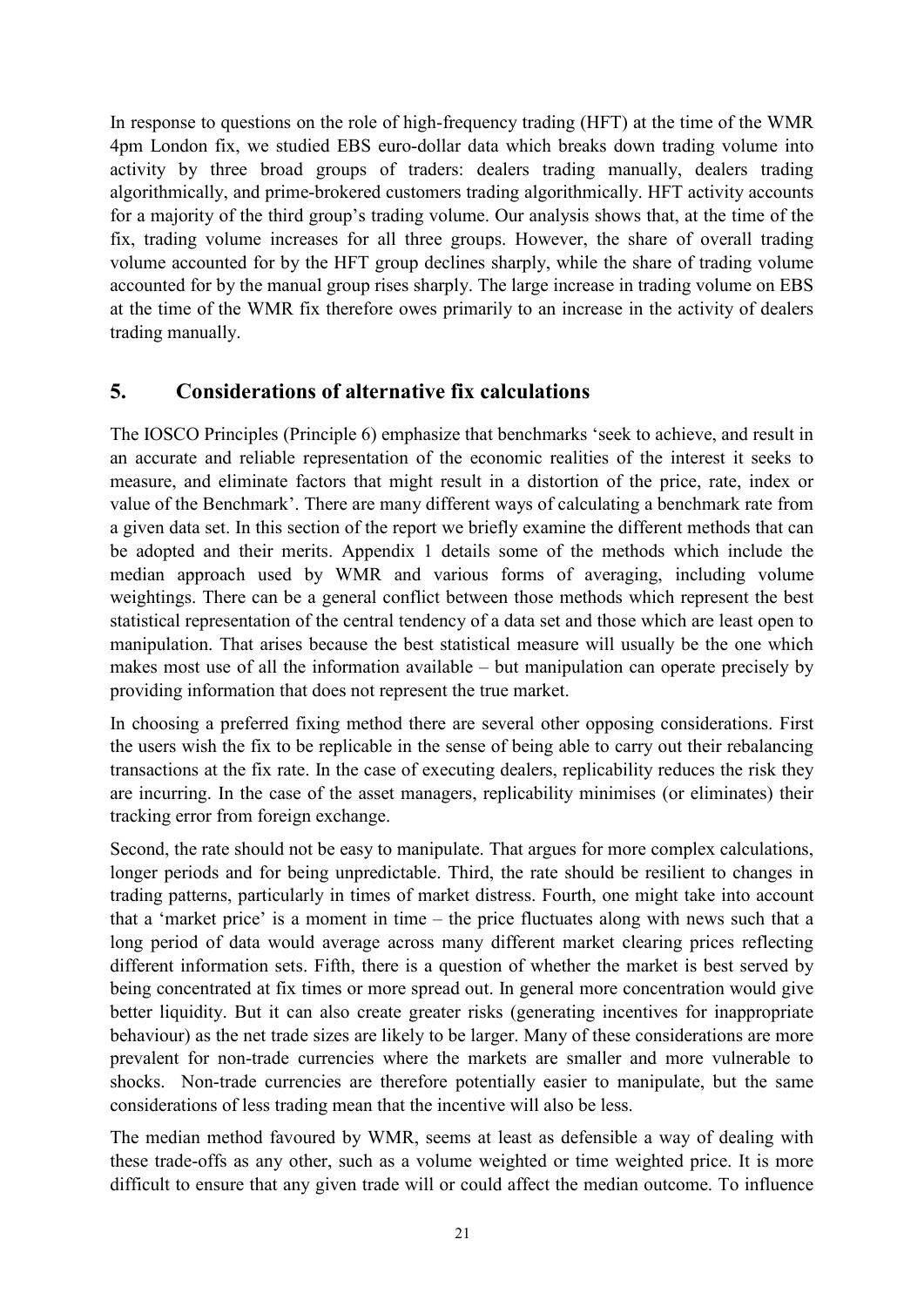In response to questions on the role of high-frequency trading (HFT) at the time of the WMR 4pm London fix, we studied EBS euro-dollar data which breaks down trading volume into activity by three broad groups of traders: dealers trading manually, dealers trading algorithmically, and prime-brokered customers trading algorithmically. HFT activity accounts for a majority of the third group's trading volume. Our analysis shows that, at the time of the fix, trading volume increases for all three groups. However, the share of overall trading volume accounted for by the HFT group declines sharply, while the share of trading volume accounted for by the manual group rises sharply. The large increase in trading volume on EBS at the time of the WMR fix therefore owes primarily to an increase in the activity of dealers trading manually.

# <span id="page-22-0"></span>**5. Considerations of alternative fix calculations**

The IOSCO Principles (Principle 6) emphasize that benchmarks 'seek to achieve, and result in an accurate and reliable representation of the economic realities of the interest it seeks to measure, and eliminate factors that might result in a distortion of the price, rate, index or value of the Benchmark'. There are many different ways of calculating a benchmark rate from a given data set. In this section of the report we briefly examine the different methods that can be adopted and their merits. Appendix 1 details some of the methods which include the median approach used by WMR and various forms of averaging, including volume weightings. There can be a general conflict between those methods which represent the best statistical representation of the central tendency of a data set and those which are least open to manipulation. That arises because the best statistical measure will usually be the one which makes most use of all the information available – but manipulation can operate precisely by providing information that does not represent the true market.

In choosing a preferred fixing method there are several other opposing considerations. First the users wish the fix to be replicable in the sense of being able to carry out their rebalancing transactions at the fix rate. In the case of executing dealers, replicability reduces the risk they are incurring. In the case of the asset managers, replicability minimises (or eliminates) their tracking error from foreign exchange.

Second, the rate should not be easy to manipulate. That argues for more complex calculations, longer periods and for being unpredictable. Third, the rate should be resilient to changes in trading patterns, particularly in times of market distress. Fourth, one might take into account that a 'market price' is a moment in time – the price fluctuates along with news such that a long period of data would average across many different market clearing prices reflecting different information sets. Fifth, there is a question of whether the market is best served by being concentrated at fix times or more spread out. In general more concentration would give better liquidity. But it can also create greater risks (generating incentives for inappropriate behaviour) as the net trade sizes are likely to be larger. Many of these considerations are more prevalent for non-trade currencies where the markets are smaller and more vulnerable to shocks. Non-trade currencies are therefore potentially easier to manipulate, but the same considerations of less trading mean that the incentive will also be less.

The median method favoured by WMR, seems at least as defensible a way of dealing with these trade-offs as any other, such as a volume weighted or time weighted price. It is more difficult to ensure that any given trade will or could affect the median outcome. To influence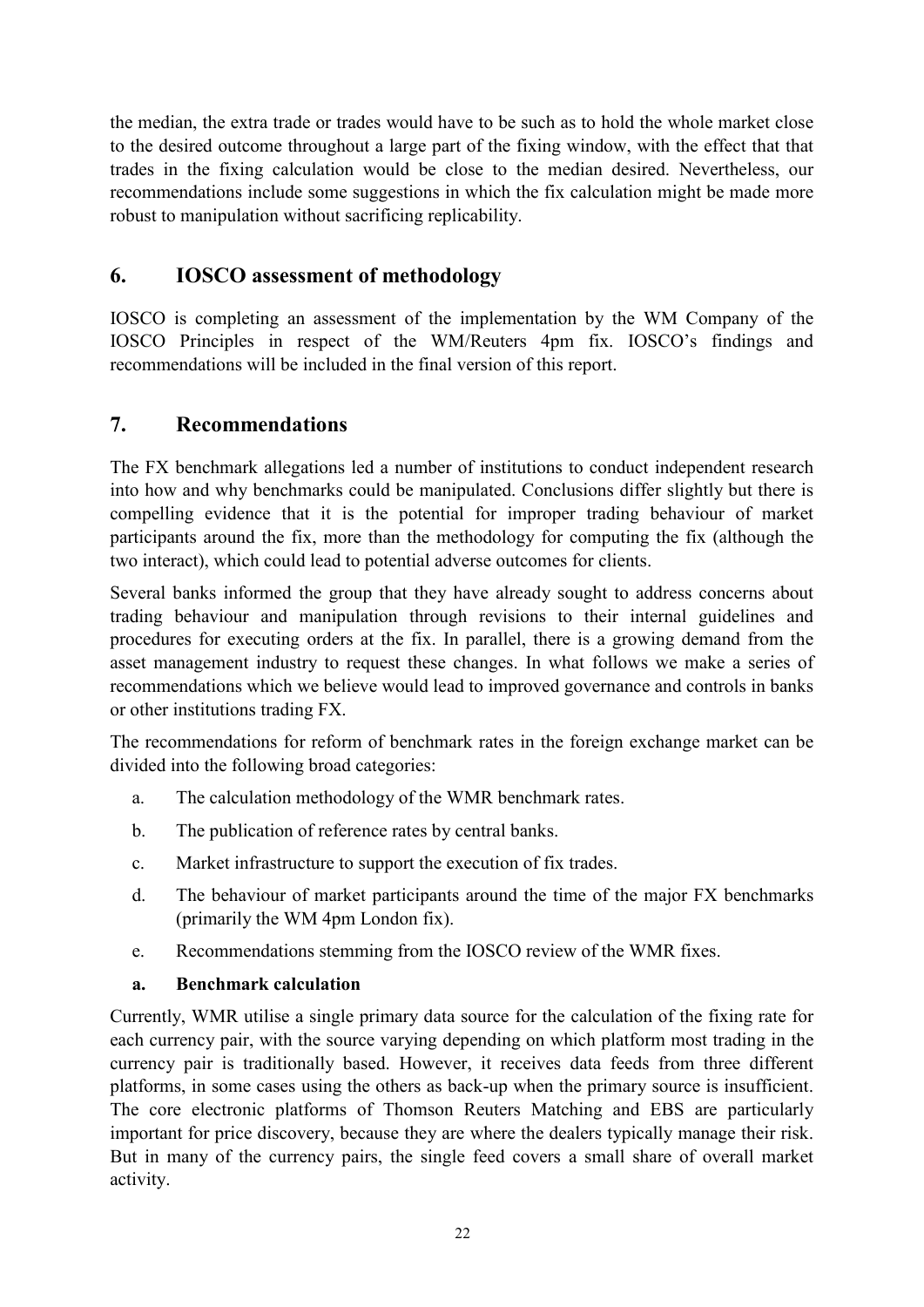the median, the extra trade or trades would have to be such as to hold the whole market close to the desired outcome throughout a large part of the fixing window, with the effect that that trades in the fixing calculation would be close to the median desired. Nevertheless, our recommendations include some suggestions in which the fix calculation might be made more robust to manipulation without sacrificing replicability.

# <span id="page-23-0"></span>**6. IOSCO assessment of methodology**

IOSCO is completing an assessment of the implementation by the WM Company of the IOSCO Principles in respect of the WM/Reuters 4pm fix. IOSCO's findings and recommendations will be included in the final version of this report.

# <span id="page-23-1"></span>**7. Recommendations**

The FX benchmark allegations led a number of institutions to conduct independent research into how and why benchmarks could be manipulated. Conclusions differ slightly but there is compelling evidence that it is the potential for improper trading behaviour of market participants around the fix, more than the methodology for computing the fix (although the two interact), which could lead to potential adverse outcomes for clients.

Several banks informed the group that they have already sought to address concerns about trading behaviour and manipulation through revisions to their internal guidelines and procedures for executing orders at the fix. In parallel, there is a growing demand from the asset management industry to request these changes. In what follows we make a series of recommendations which we believe would lead to improved governance and controls in banks or other institutions trading FX.

The recommendations for reform of benchmark rates in the foreign exchange market can be divided into the following broad categories:

- a. The calculation methodology of the WMR benchmark rates.
- b. The publication of reference rates by central banks.
- c. Market infrastructure to support the execution of fix trades.
- d. The behaviour of market participants around the time of the major FX benchmarks (primarily the WM 4pm London fix).
- e. Recommendations stemming from the IOSCO review of the WMR fixes.

## **a. Benchmark calculation**

Currently, WMR utilise a single primary data source for the calculation of the fixing rate for each currency pair, with the source varying depending on which platform most trading in the currency pair is traditionally based. However, it receives data feeds from three different platforms, in some cases using the others as back-up when the primary source is insufficient. The core electronic platforms of Thomson Reuters Matching and EBS are particularly important for price discovery, because they are where the dealers typically manage their risk. But in many of the currency pairs, the single feed covers a small share of overall market activity.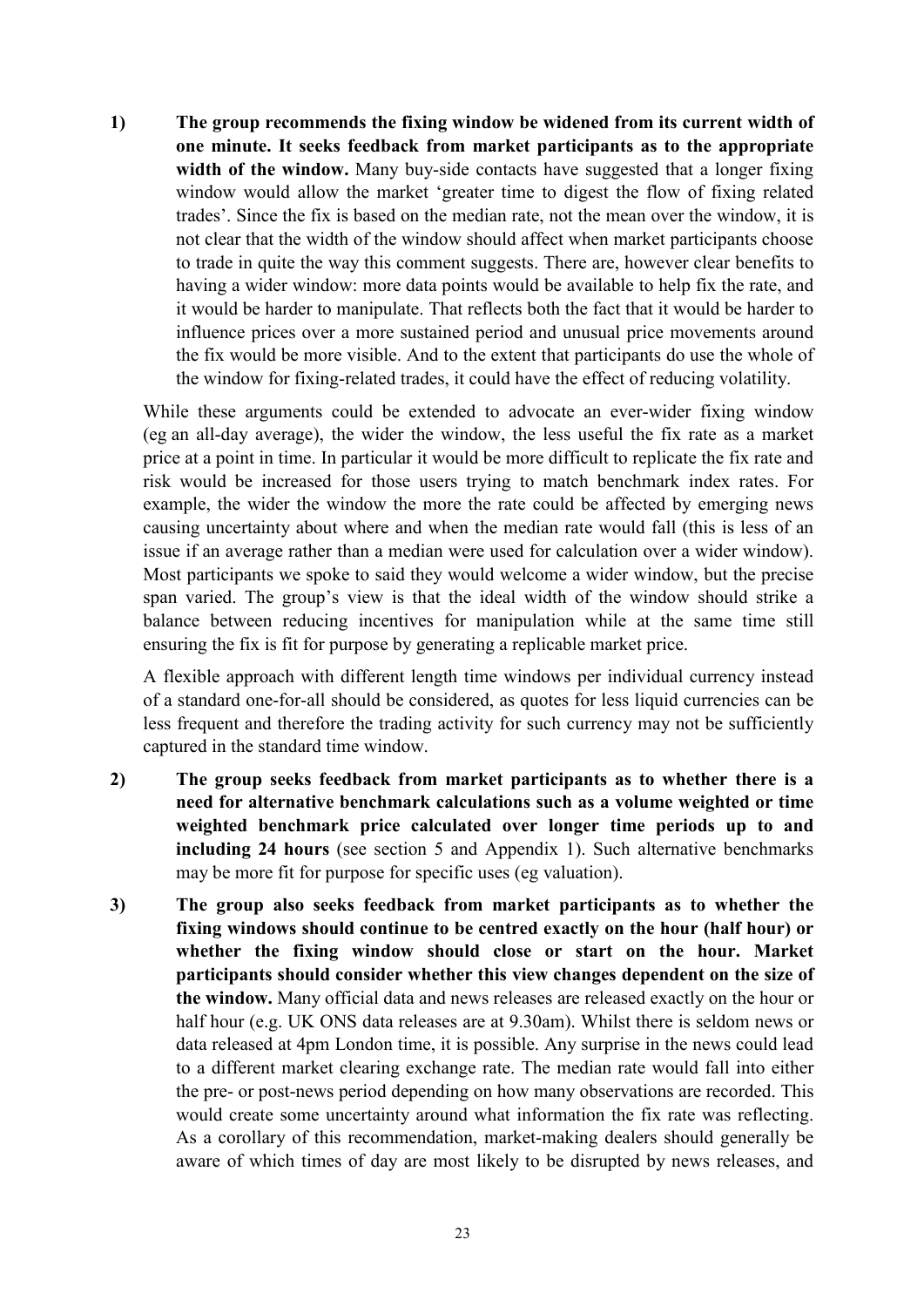**1) The group recommends the fixing window be widened from its current width of one minute. It seeks feedback from market participants as to the appropriate width of the window.** Many buy-side contacts have suggested that a longer fixing window would allow the market 'greater time to digest the flow of fixing related trades'. Since the fix is based on the median rate, not the mean over the window, it is not clear that the width of the window should affect when market participants choose to trade in quite the way this comment suggests. There are, however clear benefits to having a wider window: more data points would be available to help fix the rate, and it would be harder to manipulate. That reflects both the fact that it would be harder to influence prices over a more sustained period and unusual price movements around the fix would be more visible. And to the extent that participants do use the whole of the window for fixing-related trades, it could have the effect of reducing volatility.

While these arguments could be extended to advocate an ever-wider fixing window (eg an all-day average), the wider the window, the less useful the fix rate as a market price at a point in time. In particular it would be more difficult to replicate the fix rate and risk would be increased for those users trying to match benchmark index rates. For example, the wider the window the more the rate could be affected by emerging news causing uncertainty about where and when the median rate would fall (this is less of an issue if an average rather than a median were used for calculation over a wider window). Most participants we spoke to said they would welcome a wider window, but the precise span varied. The group's view is that the ideal width of the window should strike a balance between reducing incentives for manipulation while at the same time still ensuring the fix is fit for purpose by generating a replicable market price.

A flexible approach with different length time windows per individual currency instead of a standard one-for-all should be considered, as quotes for less liquid currencies can be less frequent and therefore the trading activity for such currency may not be sufficiently captured in the standard time window.

- **2) The group seeks feedback from market participants as to whether there is a need for alternative benchmark calculations such as a volume weighted or time weighted benchmark price calculated over longer time periods up to and including 24 hours** (see section 5 and Appendix 1). Such alternative benchmarks may be more fit for purpose for specific uses (eg valuation).
- **3) The group also seeks feedback from market participants as to whether the fixing windows should continue to be centred exactly on the hour (half hour) or whether the fixing window should close or start on the hour. Market participants should consider whether this view changes dependent on the size of the window.** Many official data and news releases are released exactly on the hour or half hour (e.g. UK ONS data releases are at 9.30am). Whilst there is seldom news or data released at 4pm London time, it is possible. Any surprise in the news could lead to a different market clearing exchange rate. The median rate would fall into either the pre- or post-news period depending on how many observations are recorded. This would create some uncertainty around what information the fix rate was reflecting. As a corollary of this recommendation, market-making dealers should generally be aware of which times of day are most likely to be disrupted by news releases, and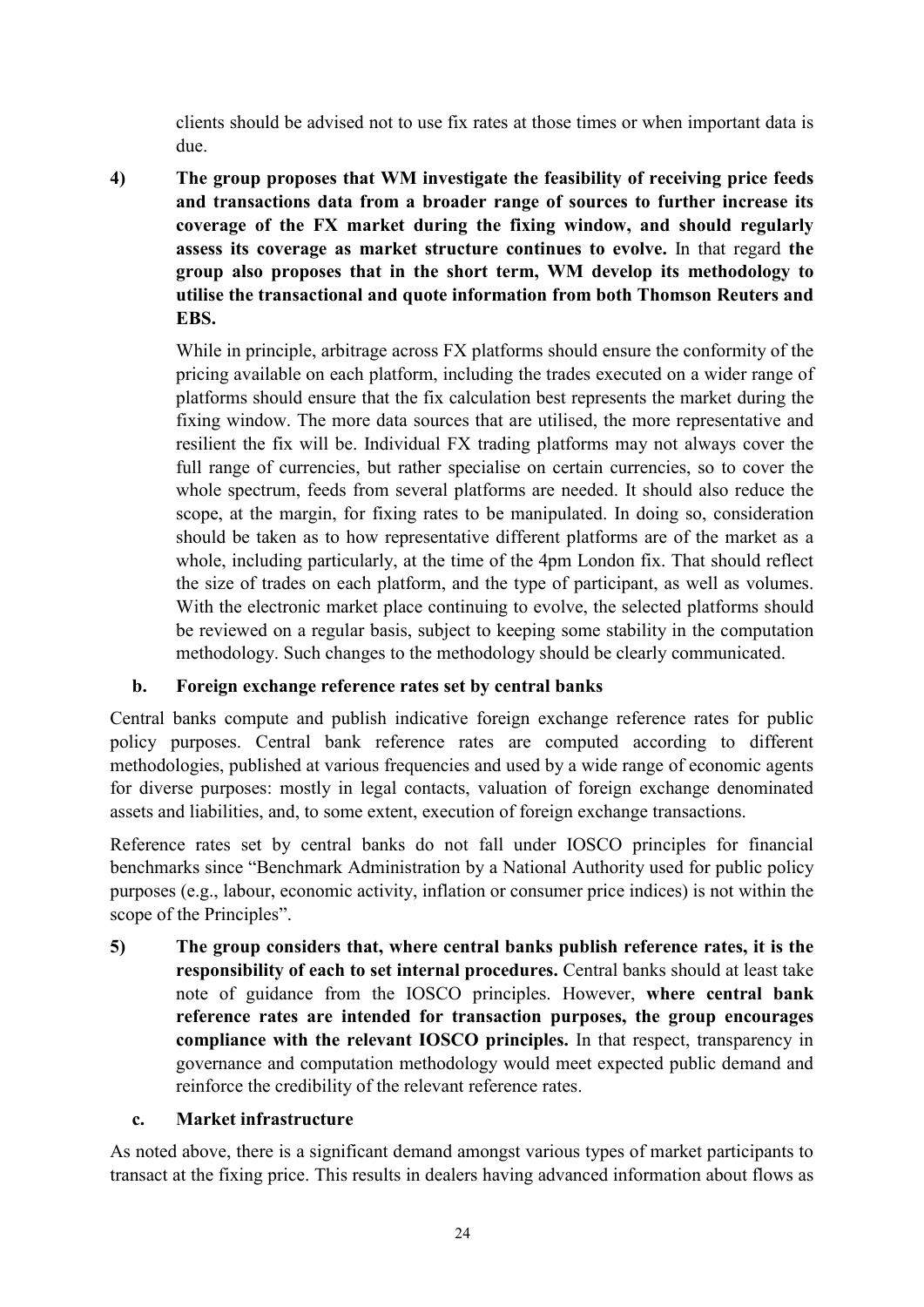clients should be advised not to use fix rates at those times or when important data is due.

**4) The group proposes that WM investigate the feasibility of receiving price feeds and transactions data from a broader range of sources to further increase its coverage of the FX market during the fixing window, and should regularly assess its coverage as market structure continues to evolve.** In that regard **the group also proposes that in the short term, WM develop its methodology to utilise the transactional and quote information from both Thomson Reuters and EBS.**

While in principle, arbitrage across FX platforms should ensure the conformity of the pricing available on each platform, including the trades executed on a wider range of platforms should ensure that the fix calculation best represents the market during the fixing window. The more data sources that are utilised, the more representative and resilient the fix will be. Individual FX trading platforms may not always cover the full range of currencies, but rather specialise on certain currencies, so to cover the whole spectrum, feeds from several platforms are needed. It should also reduce the scope, at the margin, for fixing rates to be manipulated. In doing so, consideration should be taken as to how representative different platforms are of the market as a whole, including particularly, at the time of the 4pm London fix. That should reflect the size of trades on each platform, and the type of participant, as well as volumes. With the electronic market place continuing to evolve, the selected platforms should be reviewed on a regular basis, subject to keeping some stability in the computation methodology. Such changes to the methodology should be clearly communicated.

## **b. Foreign exchange reference rates set by central banks**

Central banks compute and publish indicative foreign exchange reference rates for public policy purposes. Central bank reference rates are computed according to different methodologies, published at various frequencies and used by a wide range of economic agents for diverse purposes: mostly in legal contacts, valuation of foreign exchange denominated assets and liabilities, and, to some extent, execution of foreign exchange transactions.

Reference rates set by central banks do not fall under IOSCO principles for financial benchmarks since "Benchmark Administration by a National Authority used for public policy purposes (e.g., labour, economic activity, inflation or consumer price indices) is not within the scope of the Principles".

**5) The group considers that, where central banks publish reference rates, it is the responsibility of each to set internal procedures.** Central banks should at least take note of guidance from the IOSCO principles. However, **where central bank reference rates are intended for transaction purposes, the group encourages compliance with the relevant IOSCO principles.** In that respect, transparency in governance and computation methodology would meet expected public demand and reinforce the credibility of the relevant reference rates.

## **c. Market infrastructure**

As noted above, there is a significant demand amongst various types of market participants to transact at the fixing price. This results in dealers having advanced information about flows as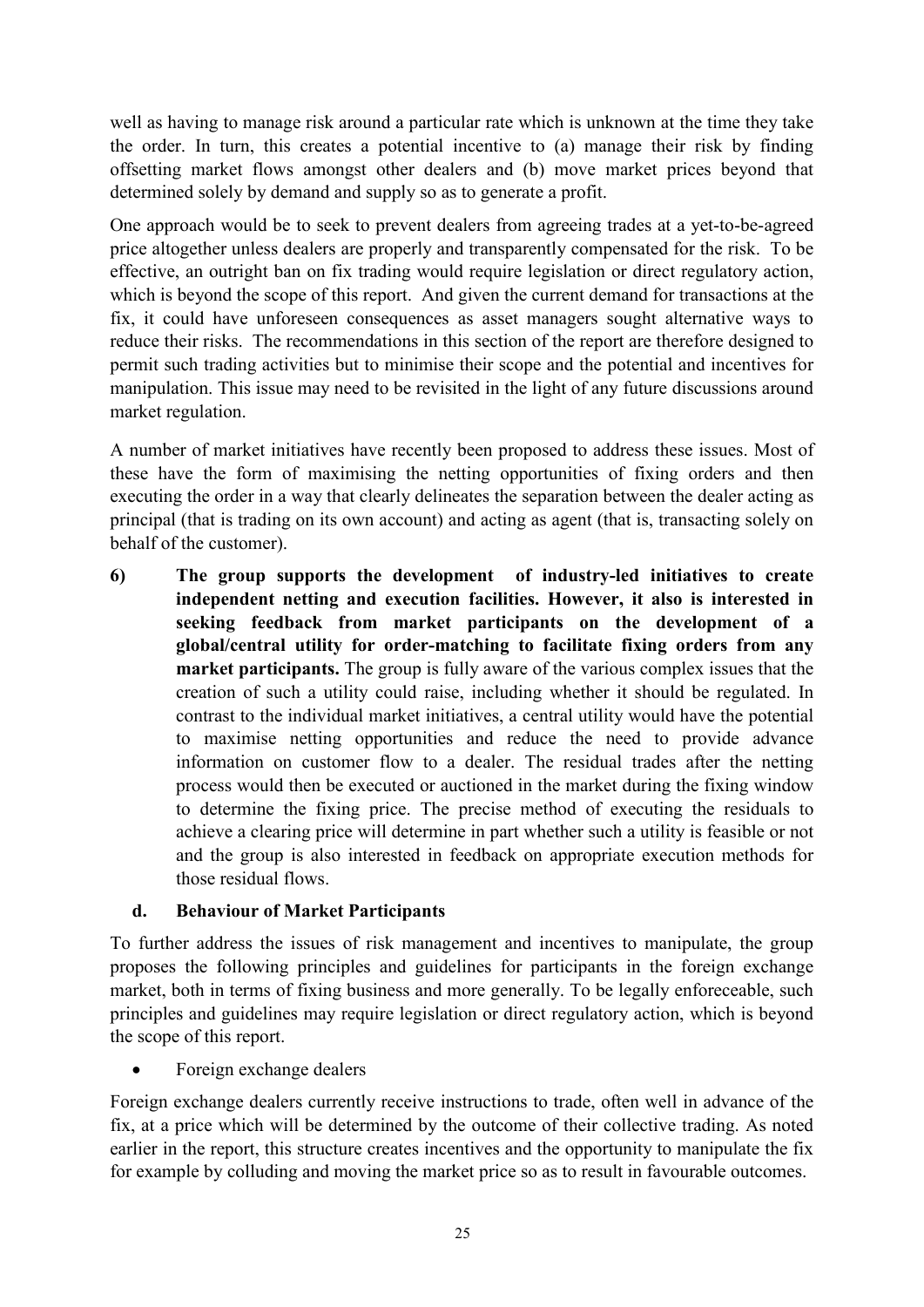well as having to manage risk around a particular rate which is unknown at the time they take the order. In turn, this creates a potential incentive to (a) manage their risk by finding offsetting market flows amongst other dealers and (b) move market prices beyond that determined solely by demand and supply so as to generate a profit.

One approach would be to seek to prevent dealers from agreeing trades at a yet-to-be-agreed price altogether unless dealers are properly and transparently compensated for the risk. To be effective, an outright ban on fix trading would require legislation or direct regulatory action, which is beyond the scope of this report. And given the current demand for transactions at the fix, it could have unforeseen consequences as asset managers sought alternative ways to reduce their risks. The recommendations in this section of the report are therefore designed to permit such trading activities but to minimise their scope and the potential and incentives for manipulation. This issue may need to be revisited in the light of any future discussions around market regulation.

A number of market initiatives have recently been proposed to address these issues. Most of these have the form of maximising the netting opportunities of fixing orders and then executing the order in a way that clearly delineates the separation between the dealer acting as principal (that is trading on its own account) and acting as agent (that is, transacting solely on behalf of the customer).

**6) The group supports the development of industry-led initiatives to create independent netting and execution facilities. However, it also is interested in seeking feedback from market participants on the development of a global/central utility for order-matching to facilitate fixing orders from any market participants.** The group is fully aware of the various complex issues that the creation of such a utility could raise, including whether it should be regulated. In contrast to the individual market initiatives, a central utility would have the potential to maximise netting opportunities and reduce the need to provide advance information on customer flow to a dealer. The residual trades after the netting process would then be executed or auctioned in the market during the fixing window to determine the fixing price. The precise method of executing the residuals to achieve a clearing price will determine in part whether such a utility is feasible or not and the group is also interested in feedback on appropriate execution methods for those residual flows.

## **d. Behaviour of Market Participants**

To further address the issues of risk management and incentives to manipulate, the group proposes the following principles and guidelines for participants in the foreign exchange market, both in terms of fixing business and more generally. To be legally enforeceable, such principles and guidelines may require legislation or direct regulatory action, which is beyond the scope of this report.

Foreign exchange dealers

Foreign exchange dealers currently receive instructions to trade, often well in advance of the fix, at a price which will be determined by the outcome of their collective trading. As noted earlier in the report, this structure creates incentives and the opportunity to manipulate the fix for example by colluding and moving the market price so as to result in favourable outcomes.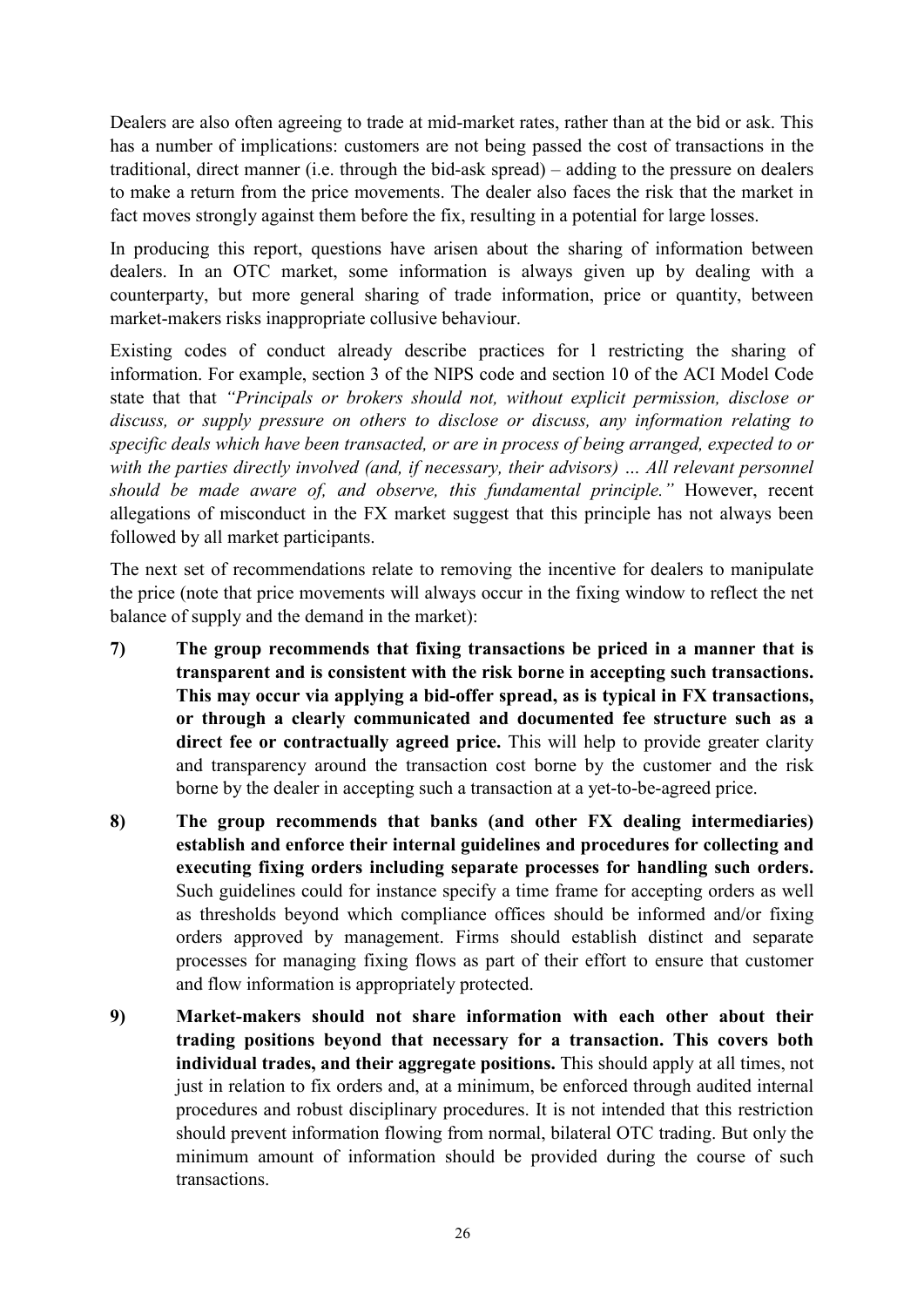Dealers are also often agreeing to trade at mid-market rates, rather than at the bid or ask. This has a number of implications: customers are not being passed the cost of transactions in the traditional, direct manner (i.e. through the bid-ask spread) – adding to the pressure on dealers to make a return from the price movements. The dealer also faces the risk that the market in fact moves strongly against them before the fix, resulting in a potential for large losses.

In producing this report, questions have arisen about the sharing of information between dealers. In an OTC market, some information is always given up by dealing with a counterparty, but more general sharing of trade information, price or quantity, between market-makers risks inappropriate collusive behaviour.

Existing codes of conduct already describe practices for l restricting the sharing of information. For example, section 3 of the NIPS code and section 10 of the ACI Model Code state that that *"Principals or brokers should not, without explicit permission, disclose or discuss, or supply pressure on others to disclose or discuss, any information relating to specific deals which have been transacted, or are in process of being arranged, expected to or*  with the parties directly involved (and, if necessary, their advisors) ... All relevant personnel *should be made aware of, and observe, this fundamental principle."* However, recent allegations of misconduct in the FX market suggest that this principle has not always been followed by all market participants.

The next set of recommendations relate to removing the incentive for dealers to manipulate the price (note that price movements will always occur in the fixing window to reflect the net balance of supply and the demand in the market):

- **7) The group recommends that fixing transactions be priced in a manner that is transparent and is consistent with the risk borne in accepting such transactions. This may occur via applying a bid-offer spread, as is typical in FX transactions, or through a clearly communicated and documented fee structure such as a direct fee or contractually agreed price.** This will help to provide greater clarity and transparency around the transaction cost borne by the customer and the risk borne by the dealer in accepting such a transaction at a yet-to-be-agreed price.
- **8) The group recommends that banks (and other FX dealing intermediaries) establish and enforce their internal guidelines and procedures for collecting and executing fixing orders including separate processes for handling such orders.** Such guidelines could for instance specify a time frame for accepting orders as well as thresholds beyond which compliance offices should be informed and/or fixing orders approved by management. Firms should establish distinct and separate processes for managing fixing flows as part of their effort to ensure that customer and flow information is appropriately protected.
- **9) Market-makers should not share information with each other about their trading positions beyond that necessary for a transaction. This covers both individual trades, and their aggregate positions.** This should apply at all times, not just in relation to fix orders and, at a minimum, be enforced through audited internal procedures and robust disciplinary procedures. It is not intended that this restriction should prevent information flowing from normal, bilateral OTC trading. But only the minimum amount of information should be provided during the course of such transactions.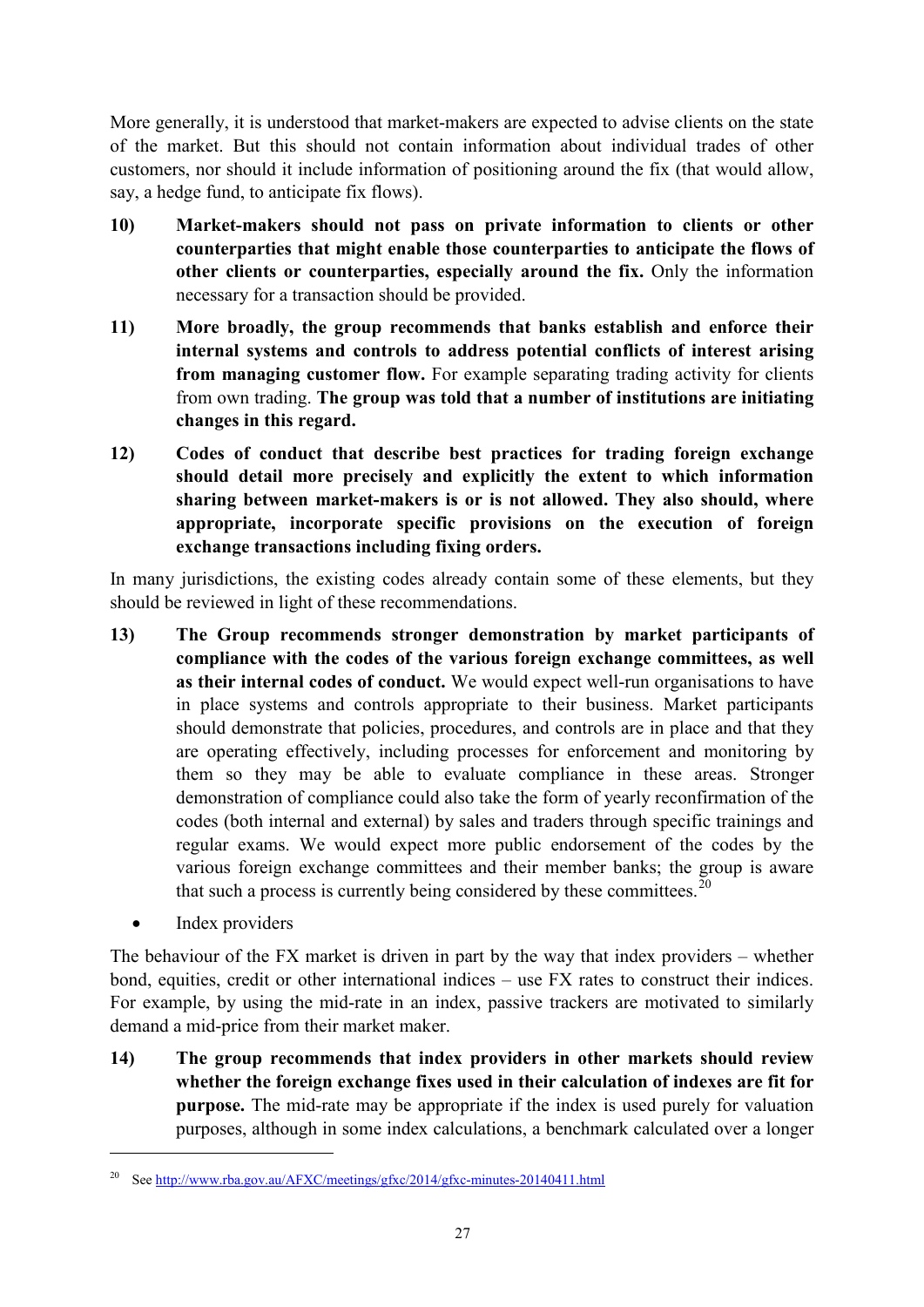More generally, it is understood that market-makers are expected to advise clients on the state of the market. But this should not contain information about individual trades of other customers, nor should it include information of positioning around the fix (that would allow, say, a hedge fund, to anticipate fix flows).

- **10) Market-makers should not pass on private information to clients or other counterparties that might enable those counterparties to anticipate the flows of other clients or counterparties, especially around the fix.** Only the information necessary for a transaction should be provided.
- **11) More broadly, the group recommends that banks establish and enforce their internal systems and controls to address potential conflicts of interest arising from managing customer flow.** For example separating trading activity for clients from own trading. **The group was told that a number of institutions are initiating changes in this regard.**
- **12) Codes of conduct that describe best practices for trading foreign exchange should detail more precisely and explicitly the extent to which information sharing between market-makers is or is not allowed. They also should, where appropriate, incorporate specific provisions on the execution of foreign exchange transactions including fixing orders.**

In many jurisdictions, the existing codes already contain some of these elements, but they should be reviewed in light of these recommendations.

- **13) The Group recommends stronger demonstration by market participants of compliance with the codes of the various foreign exchange committees, as well as their internal codes of conduct.** We would expect well-run organisations to have in place systems and controls appropriate to their business. Market participants should demonstrate that policies, procedures, and controls are in place and that they are operating effectively, including processes for enforcement and monitoring by them so they may be able to evaluate compliance in these areas. Stronger demonstration of compliance could also take the form of yearly reconfirmation of the codes (both internal and external) by sales and traders through specific trainings and regular exams. We would expect more public endorsement of the codes by the various foreign exchange committees and their member banks; the group is aware that such a process is currently being considered by these committees.<sup>[20](#page-28-0)</sup>
	- Index providers

<u>.</u>

The behaviour of the FX market is driven in part by the way that index providers – whether bond, equities, credit or other international indices – use FX rates to construct their indices. For example, by using the mid-rate in an index, passive trackers are motivated to similarly demand a mid-price from their market maker.

**14) The group recommends that index providers in other markets should review whether the foreign exchange fixes used in their calculation of indexes are fit for purpose.** The mid-rate may be appropriate if the index is used purely for valuation purposes, although in some index calculations, a benchmark calculated over a longer

<span id="page-28-0"></span><sup>20</sup> Se[e http://www.rba.gov.au/AFXC/meetings/gfxc/2014/gfxc-minutes-20140411.html](http://www.rba.gov.au/AFXC/meetings/gfxc/2014/gfxc-minutes-20140411.html)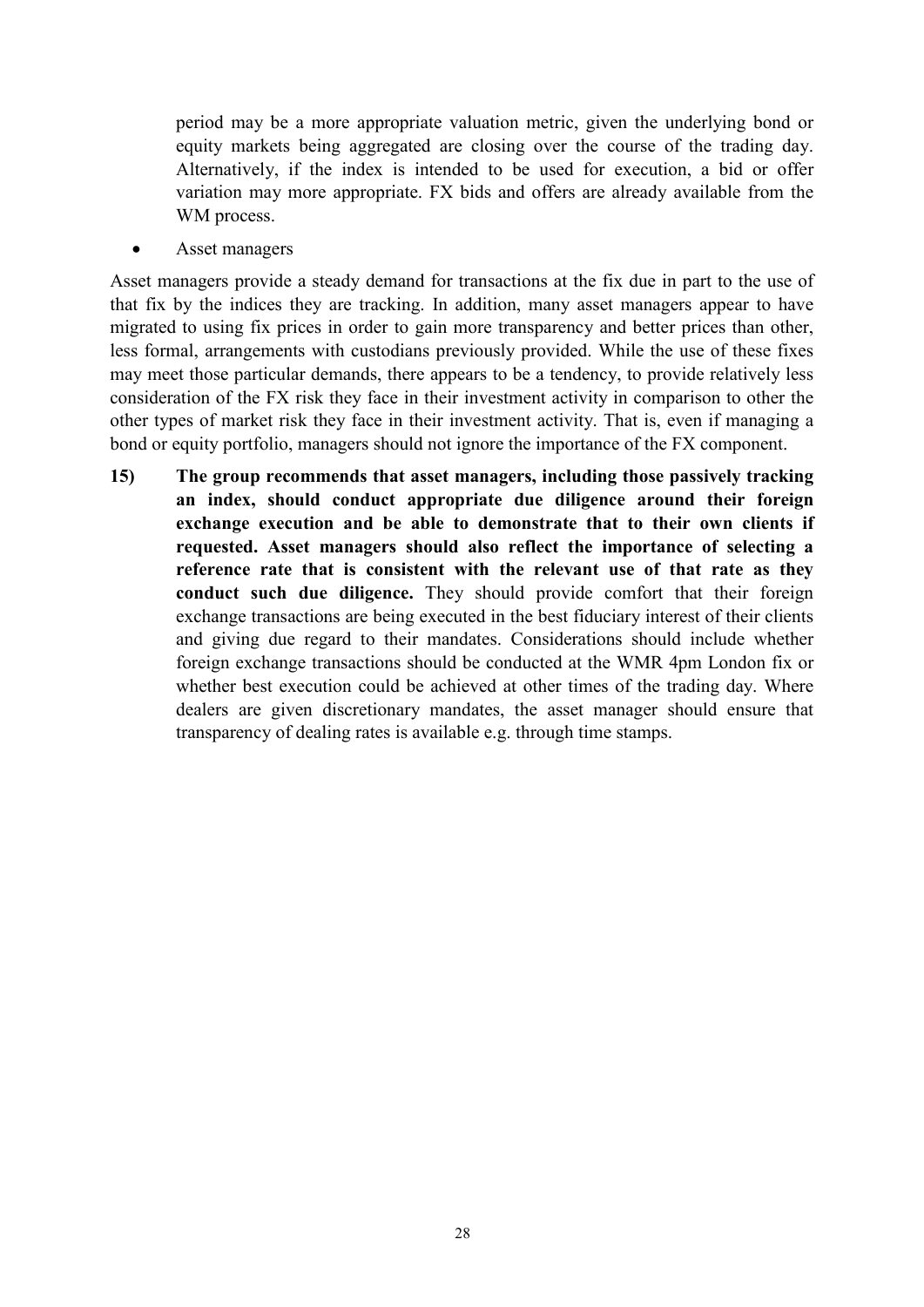period may be a more appropriate valuation metric, given the underlying bond or equity markets being aggregated are closing over the course of the trading day. Alternatively, if the index is intended to be used for execution, a bid or offer variation may more appropriate. FX bids and offers are already available from the WM process.

Asset managers

Asset managers provide a steady demand for transactions at the fix due in part to the use of that fix by the indices they are tracking. In addition, many asset managers appear to have migrated to using fix prices in order to gain more transparency and better prices than other, less formal, arrangements with custodians previously provided. While the use of these fixes may meet those particular demands, there appears to be a tendency, to provide relatively less consideration of the FX risk they face in their investment activity in comparison to other the other types of market risk they face in their investment activity. That is, even if managing a bond or equity portfolio, managers should not ignore the importance of the FX component.

**15) The group recommends that asset managers, including those passively tracking an index, should conduct appropriate due diligence around their foreign exchange execution and be able to demonstrate that to their own clients if requested. Asset managers should also reflect the importance of selecting a reference rate that is consistent with the relevant use of that rate as they conduct such due diligence.** They should provide comfort that their foreign exchange transactions are being executed in the best fiduciary interest of their clients and giving due regard to their mandates. Considerations should include whether foreign exchange transactions should be conducted at the WMR 4pm London fix or whether best execution could be achieved at other times of the trading day. Where dealers are given discretionary mandates, the asset manager should ensure that transparency of dealing rates is available e.g. through time stamps.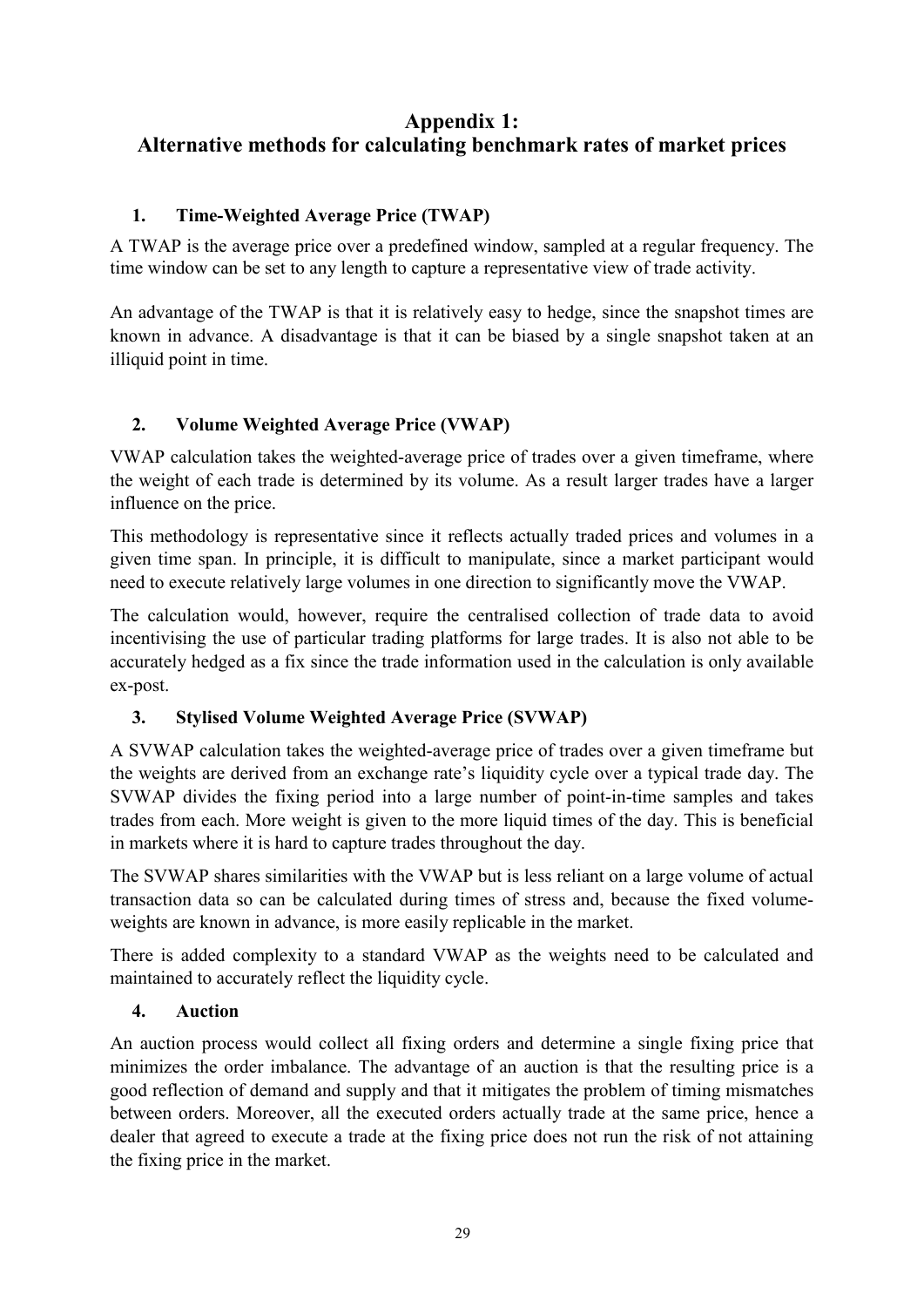# <span id="page-30-0"></span>**Appendix 1: Alternative methods for calculating benchmark rates of market prices**

# **1. Time-Weighted Average Price (TWAP)**

A TWAP is the average price over a predefined window, sampled at a regular frequency. The time window can be set to any length to capture a representative view of trade activity.

An advantage of the TWAP is that it is relatively easy to hedge, since the snapshot times are known in advance. A disadvantage is that it can be biased by a single snapshot taken at an illiquid point in time.

# **2. Volume Weighted Average Price (VWAP)**

VWAP calculation takes the weighted-average price of trades over a given timeframe, where the weight of each trade is determined by its volume. As a result larger trades have a larger influence on the price.

This methodology is representative since it reflects actually traded prices and volumes in a given time span. In principle, it is difficult to manipulate, since a market participant would need to execute relatively large volumes in one direction to significantly move the VWAP.

The calculation would, however, require the centralised collection of trade data to avoid incentivising the use of particular trading platforms for large trades. It is also not able to be accurately hedged as a fix since the trade information used in the calculation is only available ex-post.

## **3. Stylised Volume Weighted Average Price (SVWAP)**

A SVWAP calculation takes the weighted-average price of trades over a given timeframe but the weights are derived from an exchange rate's liquidity cycle over a typical trade day. The SVWAP divides the fixing period into a large number of point-in-time samples and takes trades from each. More weight is given to the more liquid times of the day. This is beneficial in markets where it is hard to capture trades throughout the day.

The SVWAP shares similarities with the VWAP but is less reliant on a large volume of actual transaction data so can be calculated during times of stress and, because the fixed volumeweights are known in advance, is more easily replicable in the market.

There is added complexity to a standard VWAP as the weights need to be calculated and maintained to accurately reflect the liquidity cycle.

## **4. Auction**

An auction process would collect all fixing orders and determine a single fixing price that minimizes the order imbalance. The advantage of an auction is that the resulting price is a good reflection of demand and supply and that it mitigates the problem of timing mismatches between orders. Moreover, all the executed orders actually trade at the same price, hence a dealer that agreed to execute a trade at the fixing price does not run the risk of not attaining the fixing price in the market.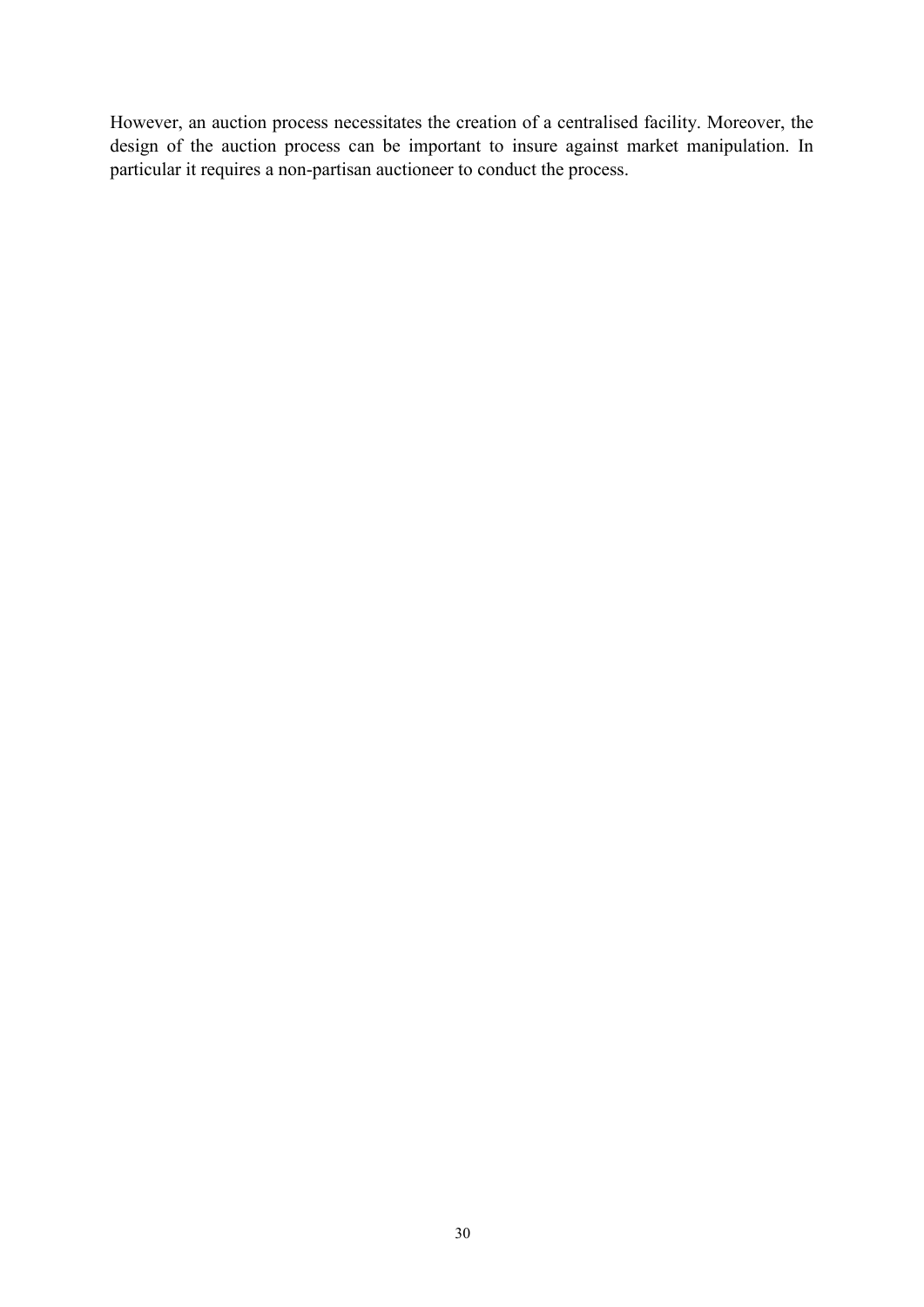However, an auction process necessitates the creation of a centralised facility. Moreover, the design of the auction process can be important to insure against market manipulation. In particular it requires a non-partisan auctioneer to conduct the process.